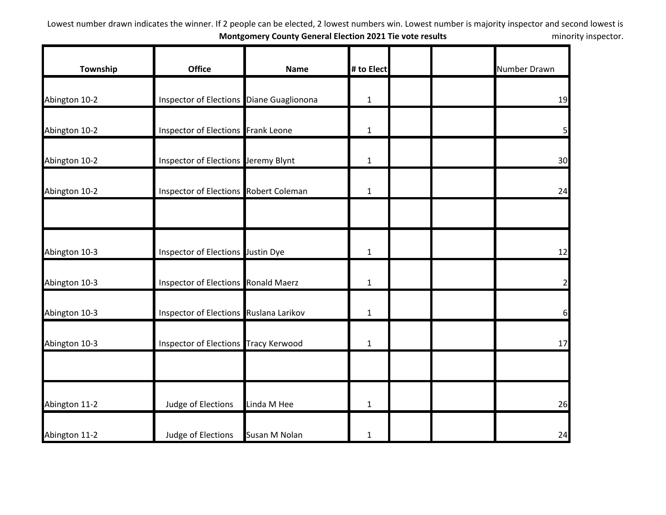| Township      | <b>Office</b>                            | <b>Name</b>   | # to Elect   | Number Drawn   |
|---------------|------------------------------------------|---------------|--------------|----------------|
| Abington 10-2 | Inspector of Elections Diane Guaglionona |               | $\mathbf{1}$ | 19             |
| Abington 10-2 | Inspector of Elections Frank Leone       |               | $\mathbf{1}$ | 5 <sub>l</sub> |
| Abington 10-2 | Inspector of Elections Jeremy Blynt      |               | $\mathbf{1}$ | 30             |
| Abington 10-2 | Inspector of Elections Robert Coleman    |               | $\mathbf{1}$ | 24             |
| Abington 10-3 | Inspector of Elections Justin Dye        |               | $\mathbf{1}$ | 12             |
| Abington 10-3 | Inspector of Elections Ronald Maerz      |               | $\mathbf{1}$ | $\overline{2}$ |
| Abington 10-3 | Inspector of Elections Ruslana Larikov   |               | $\mathbf{1}$ | 6              |
| Abington 10-3 | Inspector of Elections Tracy Kerwood     |               | $\mathbf{1}$ | 17             |
|               |                                          |               |              |                |
| Abington 11-2 | Judge of Elections                       | Linda M Hee   | $\mathbf{1}$ | 26             |
| Abington 11-2 | Judge of Elections                       | Susan M Nolan | $\mathbf{1}$ | 24             |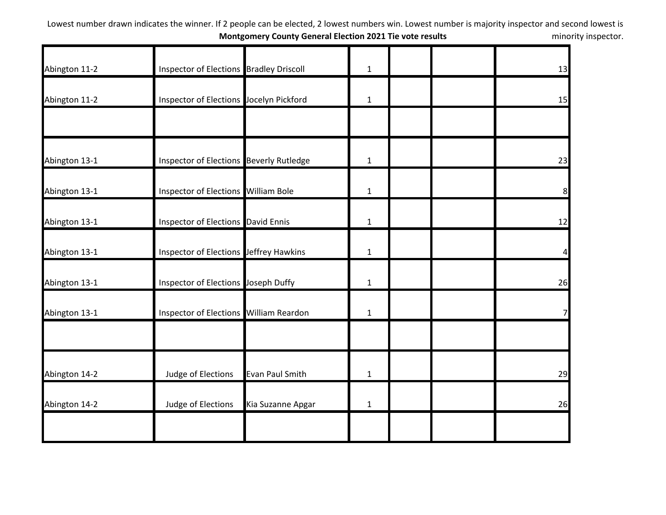| Abington 11-2 | Inspector of Elections Bradley Driscoll   |                        | $\mathbf{1}$ |  | 13 |
|---------------|-------------------------------------------|------------------------|--------------|--|----|
| Abington 11-2 | Inspector of Elections Jocelyn Pickford   |                        | $\mathbf{1}$ |  | 15 |
|               |                                           |                        |              |  |    |
| Abington 13-1 | Inspector of Elections Beverly Rutledge   |                        | $\mathbf{1}$ |  | 23 |
| Abington 13-1 | Inspector of Elections William Bole       |                        | $\mathbf{1}$ |  | 8  |
| Abington 13-1 | <b>Inspector of Elections David Ennis</b> |                        | $\mathbf{1}$ |  | 12 |
| Abington 13-1 | Inspector of Elections Jeffrey Hawkins    |                        | $\mathbf{1}$ |  | 4  |
| Abington 13-1 | Inspector of Elections Joseph Duffy       |                        | $\mathbf{1}$ |  | 26 |
| Abington 13-1 | Inspector of Elections William Reardon    |                        | $\mathbf{1}$ |  | 7  |
|               |                                           |                        |              |  |    |
| Abington 14-2 | Judge of Elections                        | <b>Evan Paul Smith</b> | 1            |  | 29 |
| Abington 14-2 | Judge of Elections                        | Kia Suzanne Apgar      | $\mathbf{1}$ |  | 26 |
|               |                                           |                        |              |  |    |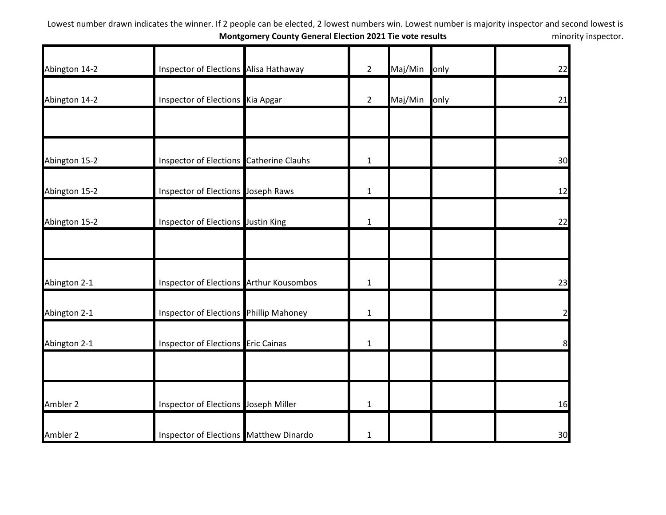| Abington 14-2 | Inspector of Elections Alisa Hathaway   | $\overline{2}$ | Maj/Min | only | 22             |
|---------------|-----------------------------------------|----------------|---------|------|----------------|
| Abington 14-2 | Inspector of Elections Kia Apgar        | $\overline{2}$ | Maj/Min | only | 21             |
|               |                                         |                |         |      |                |
| Abington 15-2 | Inspector of Elections Catherine Clauhs | $\mathbf{1}$   |         |      | 30             |
| Abington 15-2 | Inspector of Elections Joseph Raws      | $\mathbf{1}$   |         |      | 12             |
| Abington 15-2 | Inspector of Elections Justin King      | $\mathbf{1}$   |         |      | 22             |
| Abington 2-1  | Inspector of Elections Arthur Kousombos | $\mathbf{1}$   |         |      | 23             |
| Abington 2-1  | Inspector of Elections Phillip Mahoney  | $\mathbf{1}$   |         |      | $\overline{2}$ |
| Abington 2-1  | Inspector of Elections Eric Cainas      | 1              |         |      | 8              |
|               |                                         |                |         |      |                |
| Ambler 2      | Inspector of Elections Joseph Miller    | $\mathbf{1}$   |         |      | 16             |
| Ambler 2      | Inspector of Elections Matthew Dinardo  | $\mathbf{1}$   |         |      | 30             |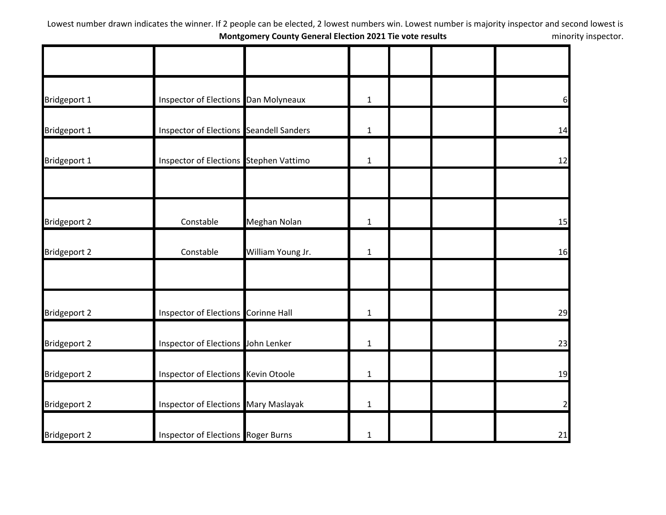| Bridgeport 1        | Inspector of Elections Dan Molyneaux           |                   | $\mathbf{1}$ |  | $6 \overline{}$ |
|---------------------|------------------------------------------------|-------------------|--------------|--|-----------------|
| Bridgeport 1        | <b>Inspector of Elections Seandell Sanders</b> |                   | $\mathbf{1}$ |  | 14              |
| Bridgeport 1        | Inspector of Elections Stephen Vattimo         |                   | $\mathbf{1}$ |  | 12              |
|                     |                                                |                   |              |  |                 |
| <b>Bridgeport 2</b> | Constable                                      | Meghan Nolan      | $\mathbf 1$  |  | 15              |
| <b>Bridgeport 2</b> | Constable                                      | William Young Jr. | $\mathbf{1}$ |  | 16              |
|                     |                                                |                   |              |  |                 |
| <b>Bridgeport 2</b> | Inspector of Elections Corinne Hall            |                   | $\mathbf{1}$ |  | 29              |
| <b>Bridgeport 2</b> | Inspector of Elections John Lenker             |                   | $\mathbf{1}$ |  | 23              |
| <b>Bridgeport 2</b> | Inspector of Elections Kevin Otoole            |                   | $\mathbf{1}$ |  | 19              |
| <b>Bridgeport 2</b> | Inspector of Elections Mary Maslayak           |                   | $\mathbf{1}$ |  | $\overline{2}$  |
| <b>Bridgeport 2</b> | <b>Inspector of Elections Roger Burns</b>      |                   | $\mathbf{1}$ |  | 21              |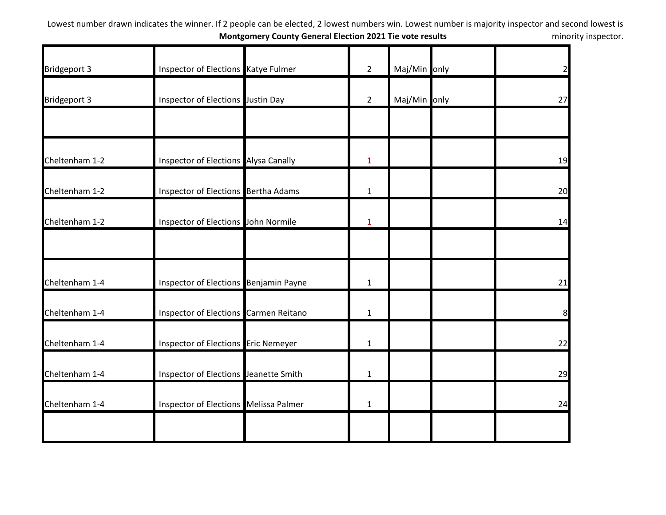| <b>Bridgeport 3</b> | Inspector of Elections Katye Fulmer   | $2^{\circ}$    | Maj/Min only | $\overline{2}$ |
|---------------------|---------------------------------------|----------------|--------------|----------------|
| <b>Bridgeport 3</b> | Inspector of Elections Justin Day     | $\overline{2}$ | Maj/Min only | 27             |
|                     |                                       |                |              |                |
| Cheltenham 1-2      | Inspector of Elections Alysa Canally  | $\mathbf{1}$   |              | 19             |
| Cheltenham 1-2      | Inspector of Elections Bertha Adams   | $\mathbf{1}$   |              | 20             |
| Cheltenham 1-2      | Inspector of Elections John Normile   | $\mathbf{1}$   |              | 14             |
|                     |                                       |                |              |                |
| Cheltenham 1-4      | Inspector of Elections Benjamin Payne | $\mathbf{1}$   |              | 21             |
| Cheltenham 1-4      | Inspector of Elections Carmen Reitano | $\mathbf{1}$   |              | 8              |
| Cheltenham 1-4      | Inspector of Elections Eric Nemeyer   | $\mathbf{1}$   |              | 22             |
| Cheltenham 1-4      | Inspector of Elections Jeanette Smith | $\mathbf{1}$   |              | 29             |
| Cheltenham 1-4      | Inspector of Elections Melissa Palmer | $\mathbf{1}$   |              | 24             |
|                     |                                       |                |              |                |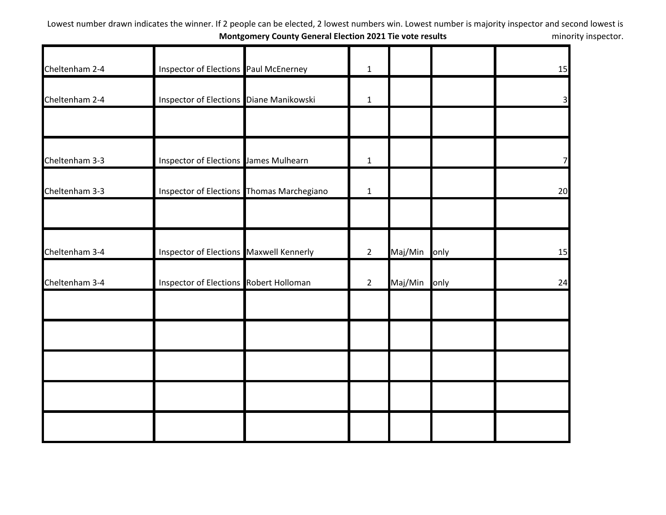| Cheltenham 2-4 | Inspector of Elections Paul McEnerney     | $\mathbf{1}$ |         |      | 15             |
|----------------|-------------------------------------------|--------------|---------|------|----------------|
|                |                                           |              |         |      |                |
| Cheltenham 2-4 | Inspector of Elections Diane Manikowski   | $\mathbf 1$  |         |      | 3 <sup>l</sup> |
|                |                                           |              |         |      |                |
| Cheltenham 3-3 | Inspector of Elections James Mulhearn     | $\mathbf{1}$ |         |      | 7              |
| Cheltenham 3-3 | Inspector of Elections Thomas Marchegiano | $\mathbf{1}$ |         |      | 20             |
|                |                                           |              |         |      |                |
| Cheltenham 3-4 | Inspector of Elections Maxwell Kennerly   | $2^{\circ}$  | Maj/Min | only | 15             |
| Cheltenham 3-4 | Inspector of Elections Robert Holloman    | $2^{\circ}$  | Maj/Min | only | 24             |
|                |                                           |              |         |      |                |
|                |                                           |              |         |      |                |
|                |                                           |              |         |      |                |
|                |                                           |              |         |      |                |
|                |                                           |              |         |      |                |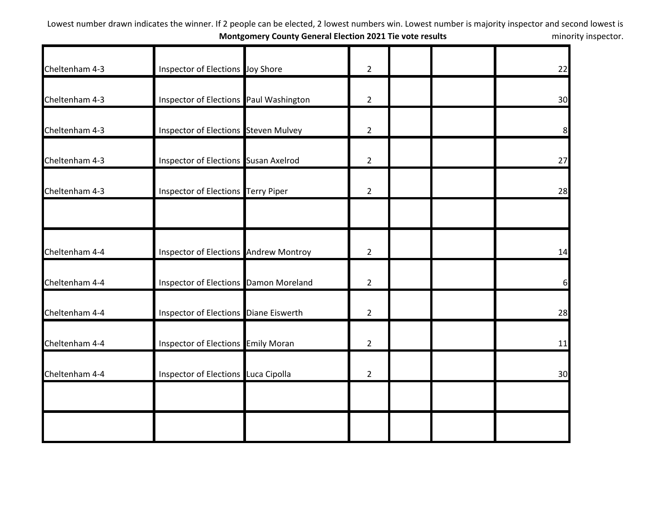| Cheltenham 4-3 | Inspector of Elections Joy Shore       | $\overline{2}$ |  | 22 |
|----------------|----------------------------------------|----------------|--|----|
| Cheltenham 4-3 | Inspector of Elections Paul Washington | $\overline{2}$ |  | 30 |
| Cheltenham 4-3 | Inspector of Elections Steven Mulvey   | $\overline{2}$ |  | 8  |
| Cheltenham 4-3 | Inspector of Elections Susan Axelrod   | $\overline{2}$ |  | 27 |
| Cheltenham 4-3 | Inspector of Elections Terry Piper     | $\overline{2}$ |  | 28 |
|                |                                        |                |  |    |
| Cheltenham 4-4 | Inspector of Elections Andrew Montroy  | $\overline{2}$ |  | 14 |
| Cheltenham 4-4 | Inspector of Elections Damon Moreland  | $\overline{2}$ |  | 6  |
| Cheltenham 4-4 | Inspector of Elections Diane Eiswerth  | $\overline{2}$ |  | 28 |
| Cheltenham 4-4 | Inspector of Elections Emily Moran     | $\overline{2}$ |  | 11 |
| Cheltenham 4-4 | Inspector of Elections Luca Cipolla    | $\overline{2}$ |  | 30 |
|                |                                        |                |  |    |
|                |                                        |                |  |    |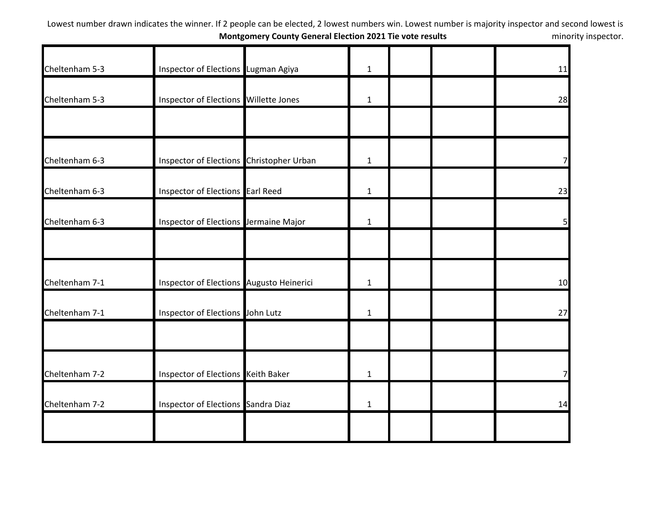| Cheltenham 5-3 | Inspector of Elections Lugman Agiya      | $\mathbf{1}$ |  | 11             |
|----------------|------------------------------------------|--------------|--|----------------|
| Cheltenham 5-3 | Inspector of Elections Willette Jones    | $\mathbf{1}$ |  | 28             |
|                |                                          |              |  |                |
| Cheltenham 6-3 | Inspector of Elections Christopher Urban | $\mathbf{1}$ |  | $\overline{7}$ |
| Cheltenham 6-3 | Inspector of Elections Earl Reed         | $\mathbf{1}$ |  | 23             |
| Cheltenham 6-3 | Inspector of Elections Jermaine Major    | $\mathbf{1}$ |  | 5 <sub>l</sub> |
|                |                                          |              |  |                |
| Cheltenham 7-1 | Inspector of Elections Augusto Heinerici | $\mathbf{1}$ |  | 10             |
| Cheltenham 7-1 | Inspector of Elections John Lutz         | $\mathbf{1}$ |  | 27             |
|                |                                          |              |  |                |
| Cheltenham 7-2 | Inspector of Elections Keith Baker       | $\mathbf{1}$ |  | $\overline{7}$ |
| Cheltenham 7-2 | Inspector of Elections Sandra Diaz       | $\mathbf{1}$ |  | 14             |
|                |                                          |              |  |                |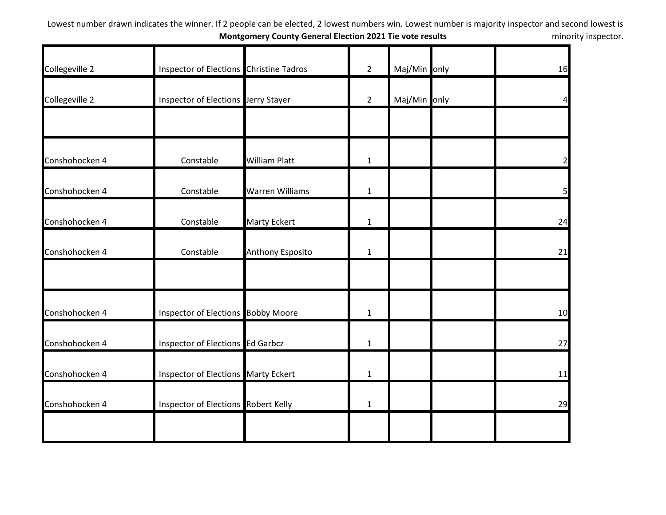| Collegeville 2 | Inspector of Elections Christine Tadros    |                         | $\overline{2}$ | Maj/Min only | 16             |
|----------------|--------------------------------------------|-------------------------|----------------|--------------|----------------|
|                |                                            |                         |                |              |                |
| Collegeville 2 | Inspector of Elections Jerry Stayer        |                         | $\overline{2}$ | Maj/Min only | 4              |
|                |                                            |                         |                |              |                |
| Conshohocken 4 | Constable                                  | <b>William Platt</b>    | $\mathbf{1}$   |              | $\overline{2}$ |
| Conshohocken 4 | Constable                                  | <b>Warren Williams</b>  | $\mathbf{1}$   |              | 5 <sub>l</sub> |
| Conshohocken 4 | Constable                                  | <b>Marty Eckert</b>     | $\mathbf{1}$   |              | 24             |
| Conshohocken 4 | Constable                                  | <b>Anthony Esposito</b> | $\mathbf{1}$   |              | 21             |
|                |                                            |                         |                |              |                |
| Conshohocken 4 | <b>Inspector of Elections Bobby Moore</b>  |                         | $\mathbf{1}$   |              | 10             |
| Conshohocken 4 | Inspector of Elections Ed Garbcz           |                         | $\mathbf{1}$   |              | 27             |
| Conshohocken 4 | <b>Inspector of Elections Marty Eckert</b> |                         | $\mathbf{1}$   |              | 11             |
| Conshohocken 4 | Inspector of Elections Robert Kelly        |                         | $\mathbf{1}$   |              | 29             |
|                |                                            |                         |                |              |                |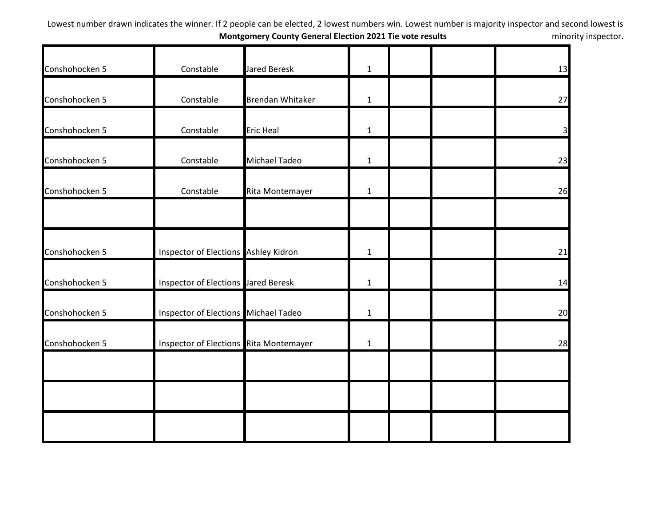| Conshohocken 5 | Constable                              | <b>Jared Beresk</b>     | $\mathbf{1}$ |  | 13                      |
|----------------|----------------------------------------|-------------------------|--------------|--|-------------------------|
|                |                                        |                         |              |  |                         |
| Conshohocken 5 | Constable                              | <b>Brendan Whitaker</b> | $\mathbf{1}$ |  | 27                      |
| Conshohocken 5 | Constable                              | <b>Eric Heal</b>        | $\mathbf{1}$ |  | $\overline{\mathbf{3}}$ |
| Conshohocken 5 | Constable                              | <b>Michael Tadeo</b>    | $\mathbf{1}$ |  | 23                      |
| Conshohocken 5 | Constable                              | Rita Montemayer         | $\mathbf{1}$ |  | 26                      |
|                |                                        |                         |              |  |                         |
| Conshohocken 5 | Inspector of Elections Ashley Kidron   |                         | $\mathbf{1}$ |  | 21                      |
| Conshohocken 5 | Inspector of Elections Jared Beresk    |                         | $\mathbf{1}$ |  | 14                      |
| Conshohocken 5 | Inspector of Elections Michael Tadeo   |                         | $\mathbf{1}$ |  | 20                      |
| Conshohocken 5 | Inspector of Elections Rita Montemayer |                         | $\mathbf{1}$ |  | 28                      |
|                |                                        |                         |              |  |                         |
|                |                                        |                         |              |  |                         |
|                |                                        |                         |              |  |                         |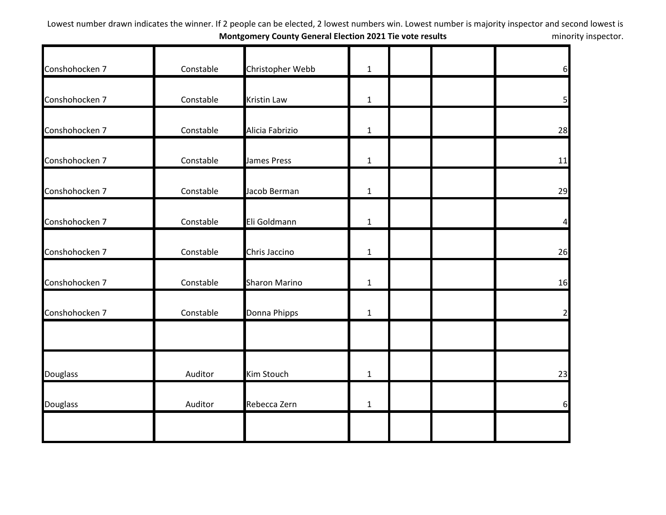| Conshohocken 7  | Constable | Christopher Webb     | $\mathbf{1}$ |  | 6              |
|-----------------|-----------|----------------------|--------------|--|----------------|
| Conshohocken 7  | Constable | <b>Kristin Law</b>   | $\mathbf{1}$ |  | 5 <sub>l</sub> |
| Conshohocken 7  | Constable | Alicia Fabrizio      | $\mathbf{1}$ |  | 28             |
| Conshohocken 7  | Constable | <b>James Press</b>   | $\mathbf{1}$ |  | 11             |
| Conshohocken 7  | Constable | Jacob Berman         | $\mathbf{1}$ |  | 29             |
| Conshohocken 7  | Constable | Eli Goldmann         | $\mathbf{1}$ |  | $\overline{4}$ |
| Conshohocken 7  | Constable | Chris Jaccino        | $\mathbf{1}$ |  | 26             |
| Conshohocken 7  | Constable | <b>Sharon Marino</b> | $\mathbf{1}$ |  | 16             |
| Conshohocken 7  | Constable | Donna Phipps         | $\mathbf{1}$ |  | $\overline{2}$ |
| <b>Douglass</b> | Auditor   | Kim Stouch           | $\mathbf{1}$ |  | 23             |
| <b>Douglass</b> | Auditor   | Rebecca Zern         | $\mathbf{1}$ |  | 6              |
|                 |           |                      |              |  |                |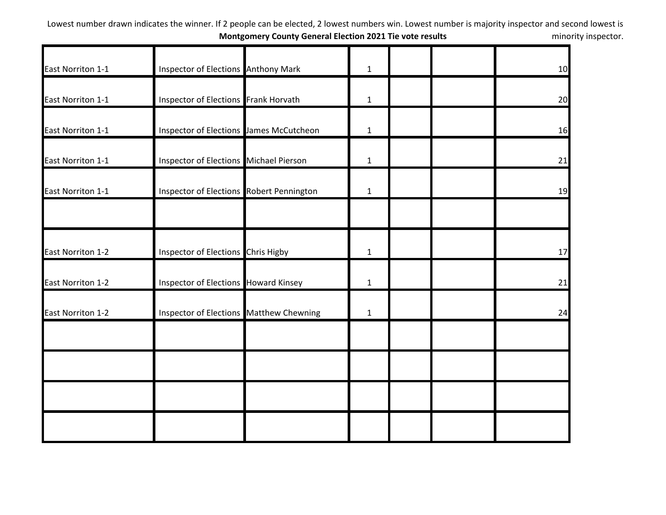| East Norriton 1-1        | Inspector of Elections Anthony Mark         | $\mathbf{1}$ |  | 10 |
|--------------------------|---------------------------------------------|--------------|--|----|
|                          |                                             |              |  |    |
| East Norriton 1-1        | Inspector of Elections Frank Horvath        | $\mathbf{1}$ |  | 20 |
| East Norriton 1-1        | Inspector of Elections James McCutcheon     | $\mathbf{1}$ |  | 16 |
| East Norriton 1-1        | Inspector of Elections Michael Pierson      | $\mathbf{1}$ |  | 21 |
| East Norriton 1-1        | Inspector of Elections Robert Pennington    | $\mathbf{1}$ |  | 19 |
|                          |                                             |              |  |    |
| <b>East Norriton 1-2</b> | Inspector of Elections Chris Higby          | $\mathbf{1}$ |  | 17 |
| East Norriton 1-2        | <b>Inspector of Elections Howard Kinsey</b> | $\mathbf{1}$ |  | 21 |
| <b>East Norriton 1-2</b> | Inspector of Elections Matthew Chewning     | $\mathbf{1}$ |  | 24 |
|                          |                                             |              |  |    |
|                          |                                             |              |  |    |
|                          |                                             |              |  |    |
|                          |                                             |              |  |    |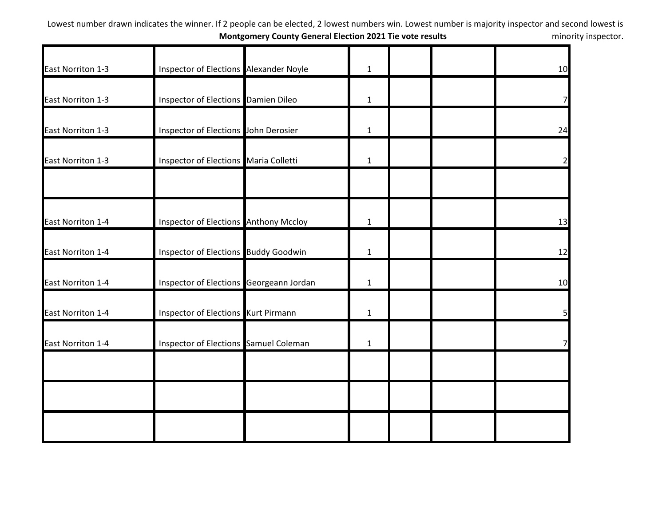| East Norriton 1-3 | Inspector of Elections Alexander Noyle       | $\mathbf{1}$ |  | 10             |
|-------------------|----------------------------------------------|--------------|--|----------------|
| East Norriton 1-3 | Inspector of Elections Damien Dileo          | $\mathbf{1}$ |  | 7              |
| East Norriton 1-3 | Inspector of Elections John Derosier         | $\mathbf{1}$ |  | 24             |
| East Norriton 1-3 | Inspector of Elections Maria Colletti        | $\mathbf{1}$ |  | $\overline{2}$ |
|                   |                                              |              |  |                |
| East Norriton 1-4 | <b>Inspector of Elections Anthony Mccloy</b> | $\mathbf{1}$ |  | 13             |
| East Norriton 1-4 | <b>Inspector of Elections Buddy Goodwin</b>  | $\mathbf{1}$ |  | 12             |
| East Norriton 1-4 | Inspector of Elections Georgeann Jordan      | $\mathbf{1}$ |  | 10             |
| East Norriton 1-4 | Inspector of Elections Kurt Pirmann          | $\mathbf{1}$ |  | 5              |
| East Norriton 1-4 | Inspector of Elections Samuel Coleman        | $\mathbf{1}$ |  |                |
|                   |                                              |              |  |                |
|                   |                                              |              |  |                |
|                   |                                              |              |  |                |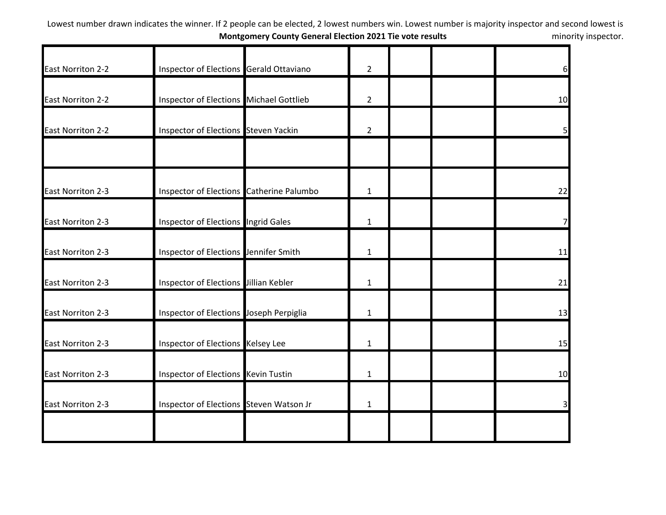| <b>East Norriton 2-2</b> | Inspector of Elections Gerald Ottaviano  | $\overline{2}$ |  | $6 \overline{}$         |
|--------------------------|------------------------------------------|----------------|--|-------------------------|
|                          |                                          |                |  |                         |
| <b>East Norriton 2-2</b> | Inspector of Elections Michael Gottlieb  | $\overline{2}$ |  | 10                      |
| <b>East Norriton 2-2</b> | Inspector of Elections Steven Yackin     | $\overline{2}$ |  | 5 <sub>l</sub>          |
| <b>East Norriton 2-3</b> | Inspector of Elections Catherine Palumbo | $\mathbf{1}$   |  | 22                      |
| <b>East Norriton 2-3</b> | Inspector of Elections Ingrid Gales      | $\mathbf{1}$   |  |                         |
| <b>East Norriton 2-3</b> | Inspector of Elections Jennifer Smith    | $\mathbf{1}$   |  | 11                      |
| East Norriton 2-3        | Inspector of Elections Jillian Kebler    | $\mathbf{1}$   |  | 21                      |
| <b>East Norriton 2-3</b> | Inspector of Elections Joseph Perpiglia  | 1              |  | 13                      |
| <b>East Norriton 2-3</b> | Inspector of Elections Kelsey Lee        | $\mathbf{1}$   |  | 15                      |
| <b>East Norriton 2-3</b> | Inspector of Elections Kevin Tustin      | $\mathbf{1}$   |  | 10                      |
| East Norriton 2-3        | Inspector of Elections Steven Watson Jr  | $\mathbf{1}$   |  | $\overline{\mathsf{3}}$ |
|                          |                                          |                |  |                         |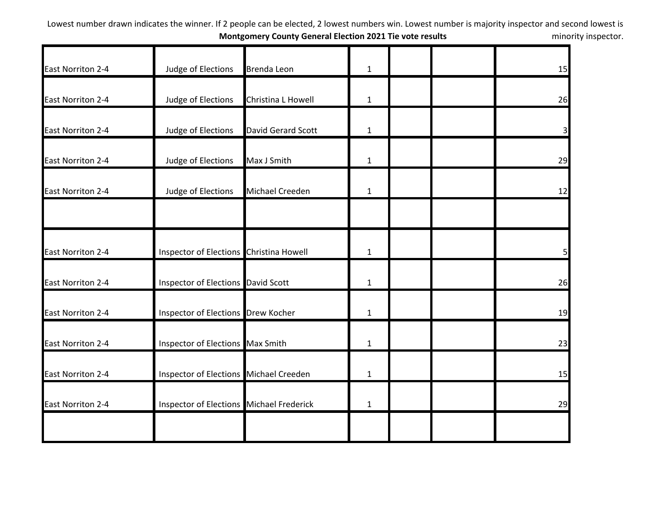| East Norriton 2-4        | Judge of Elections                        | <b>Brenda Leon</b> | $\mathbf{1}$ |  | 15             |
|--------------------------|-------------------------------------------|--------------------|--------------|--|----------------|
| East Norriton 2-4        | Judge of Elections                        | Christina L Howell | $\mathbf{1}$ |  | 26             |
| <b>East Norriton 2-4</b> | Judge of Elections                        | David Gerard Scott | $\mathbf{1}$ |  | $\overline{3}$ |
| <b>East Norriton 2-4</b> | Judge of Elections                        | Max J Smith        | $\mathbf{1}$ |  | 29             |
| <b>East Norriton 2-4</b> | Judge of Elections                        | Michael Creeden    | $\mathbf{1}$ |  | 12             |
| East Norriton 2-4        | Inspector of Elections Christina Howell   |                    | $\mathbf{1}$ |  | 5 <sub>l</sub> |
| <b>East Norriton 2-4</b> | <b>Inspector of Elections David Scott</b> |                    | $\mathbf{1}$ |  | 26             |
| <b>East Norriton 2-4</b> | Inspector of Elections Drew Kocher        |                    | $\mathbf{1}$ |  | 19             |
| <b>East Norriton 2-4</b> | Inspector of Elections Max Smith          |                    | $\mathbf{1}$ |  | 23             |
| East Norriton 2-4        | Inspector of Elections Michael Creeden    |                    | $\mathbf{1}$ |  | 15             |
| <b>East Norriton 2-4</b> | Inspector of Elections Michael Frederick  |                    | $\mathbf{1}$ |  | 29             |
|                          |                                           |                    |              |  |                |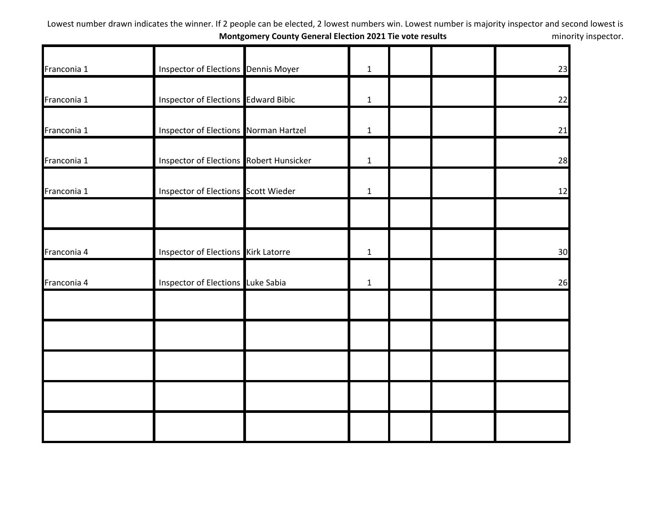| Franconia 1 | <b>Inspector of Elections Dennis Moyer</b>     | $\mathbf{1}$ |  | 23 |
|-------------|------------------------------------------------|--------------|--|----|
| Franconia 1 | Inspector of Elections Edward Bibic            | $\mathbf{1}$ |  | 22 |
| Franconia 1 | Inspector of Elections Norman Hartzel          | $\mathbf{1}$ |  | 21 |
| Franconia 1 | <b>Inspector of Elections Robert Hunsicker</b> | $\mathbf{1}$ |  | 28 |
| Franconia 1 | Inspector of Elections Scott Wieder            | $\mathbf{1}$ |  | 12 |
| Franconia 4 | <b>Inspector of Elections</b> Kirk Latorre     | $\mathbf{1}$ |  | 30 |
| Franconia 4 | Inspector of Elections Luke Sabia              | $\mathbf 1$  |  | 26 |
|             |                                                |              |  |    |
|             |                                                |              |  |    |
|             |                                                |              |  |    |
|             |                                                |              |  |    |
|             |                                                |              |  |    |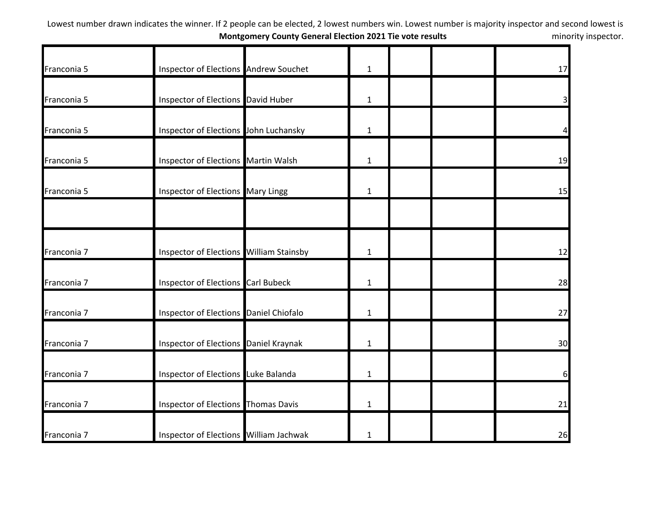| Franconia 5 | Inspector of Elections Andrew Souchet     | $\mathbf{1}$ |  | 17                      |
|-------------|-------------------------------------------|--------------|--|-------------------------|
| Franconia 5 | Inspector of Elections David Huber        | $\mathbf{1}$ |  | $\overline{\mathbf{3}}$ |
| Franconia 5 | Inspector of Elections John Luchansky     | $\mathbf{1}$ |  | 4                       |
| Franconia 5 | Inspector of Elections Martin Walsh       | $\mathbf{1}$ |  | 19                      |
| Franconia 5 | Inspector of Elections Mary Lingg         | $\mathbf{1}$ |  | 15                      |
| Franconia 7 | Inspector of Elections William Stainsby   | $\mathbf{1}$ |  | 12                      |
| Franconia 7 | <b>Inspector of Elections Carl Bubeck</b> | $\mathbf{1}$ |  | 28                      |
| Franconia 7 | Inspector of Elections Daniel Chiofalo    | $\mathbf{1}$ |  | 27                      |
| Franconia 7 | Inspector of Elections Daniel Kraynak     | $\mathbf{1}$ |  | 30                      |
| Franconia 7 | Inspector of Elections Luke Balanda       | $\mathbf{1}$ |  | 6                       |
| Franconia 7 | Inspector of Elections Thomas Davis       | $\mathbf{1}$ |  | 21                      |
| Franconia 7 | Inspector of Elections William Jachwak    | 1            |  | 26                      |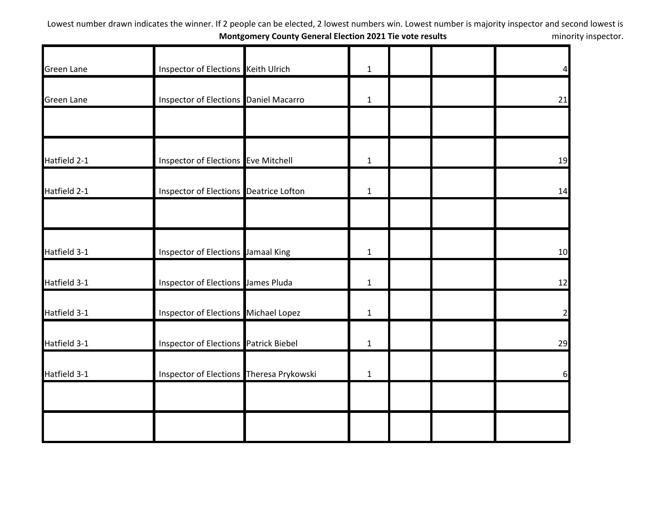| <b>Green Lane</b> | Inspector of Elections Keith Ulrich          | $\mathbf{1}$ |  | $\overline{4}$ |
|-------------------|----------------------------------------------|--------------|--|----------------|
|                   |                                              |              |  |                |
| <b>Green Lane</b> | <b>Inspector of Elections Daniel Macarro</b> | $\mathbf{1}$ |  | 21             |
|                   |                                              |              |  |                |
| Hatfield 2-1      | Inspector of Elections Eve Mitchell          | $\mathbf{1}$ |  | 19             |
| Hatfield 2-1      | Inspector of Elections Deatrice Lofton       | $\mathbf{1}$ |  | 14             |
|                   |                                              |              |  |                |
| Hatfield 3-1      | Inspector of Elections Jamaal King           | $\mathbf{1}$ |  | 10             |
| Hatfield 3-1      | Inspector of Elections James Pluda           | $\mathbf{1}$ |  | 12             |
| Hatfield 3-1      | Inspector of Elections Michael Lopez         | $\mathbf{1}$ |  | $\overline{2}$ |
| Hatfield 3-1      | Inspector of Elections Patrick Biebel        | $\mathbf{1}$ |  | 29             |
| Hatfield 3-1      | Inspector of Elections Theresa Prykowski     | $\mathbf{1}$ |  | 6              |
|                   |                                              |              |  |                |
|                   |                                              |              |  |                |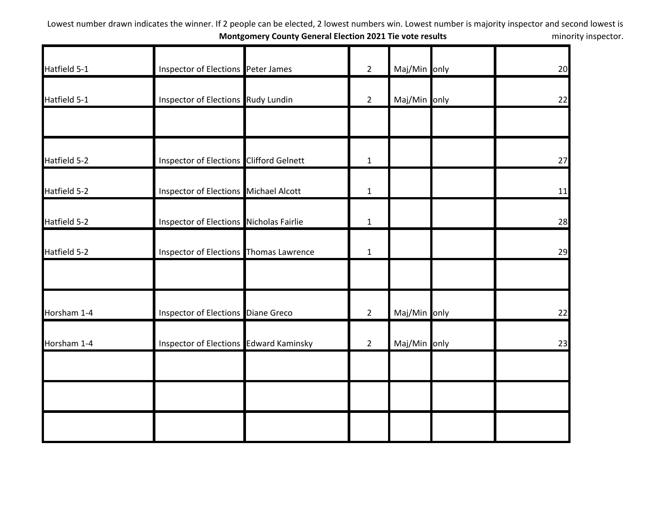| Hatfield 5-1 | Inspector of Elections Peter James            | $\overline{2}$ | Maj/Min only | 20 |
|--------------|-----------------------------------------------|----------------|--------------|----|
| Hatfield 5-1 | Inspector of Elections Rudy Lundin            | $\overline{2}$ | Maj/Min only | 22 |
|              |                                               |                |              |    |
| Hatfield 5-2 | Inspector of Elections Clifford Gelnett       | $\mathbf{1}$   |              | 27 |
| Hatfield 5-2 | Inspector of Elections Michael Alcott         | $\mathbf{1}$   |              | 11 |
| Hatfield 5-2 | Inspector of Elections Nicholas Fairlie       | $\mathbf{1}$   |              | 28 |
| Hatfield 5-2 | Inspector of Elections Thomas Lawrence        | $\mathbf{1}$   |              | 29 |
|              |                                               |                |              |    |
| Horsham 1-4  | Inspector of Elections Diane Greco            | $\overline{2}$ | Maj/Min only | 22 |
| Horsham 1-4  | <b>Inspector of Elections Edward Kaminsky</b> | $\overline{2}$ | Maj/Min only | 23 |
|              |                                               |                |              |    |
|              |                                               |                |              |    |
|              |                                               |                |              |    |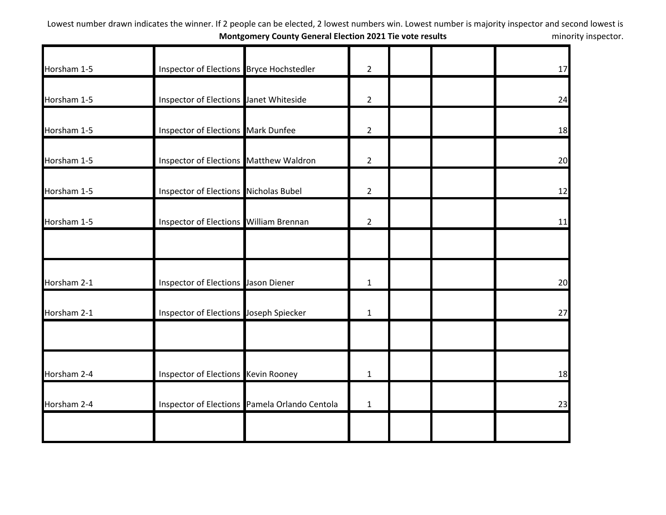| Horsham 1-5 | Inspector of Elections Bryce Hochstedler      | $\overline{2}$ |  | 17 |
|-------------|-----------------------------------------------|----------------|--|----|
| Horsham 1-5 | Inspector of Elections Janet Whiteside        | $\overline{2}$ |  | 24 |
| Horsham 1-5 | Inspector of Elections Mark Dunfee            | $\overline{2}$ |  | 18 |
| Horsham 1-5 | Inspector of Elections Matthew Waldron        | $\overline{2}$ |  | 20 |
| Horsham 1-5 | Inspector of Elections Nicholas Bubel         | $\overline{2}$ |  | 12 |
| Horsham 1-5 | Inspector of Elections William Brennan        | $\overline{2}$ |  | 11 |
| Horsham 2-1 | Inspector of Elections Jason Diener           | $\mathbf{1}$   |  | 20 |
| Horsham 2-1 | Inspector of Elections Joseph Spiecker        | $\mathbf{1}$   |  | 27 |
| Horsham 2-4 | Inspector of Elections Kevin Rooney           | $\mathbf{1}$   |  | 18 |
| Horsham 2-4 | Inspector of Elections Pamela Orlando Centola | $\mathbf{1}$   |  | 23 |
|             |                                               |                |  |    |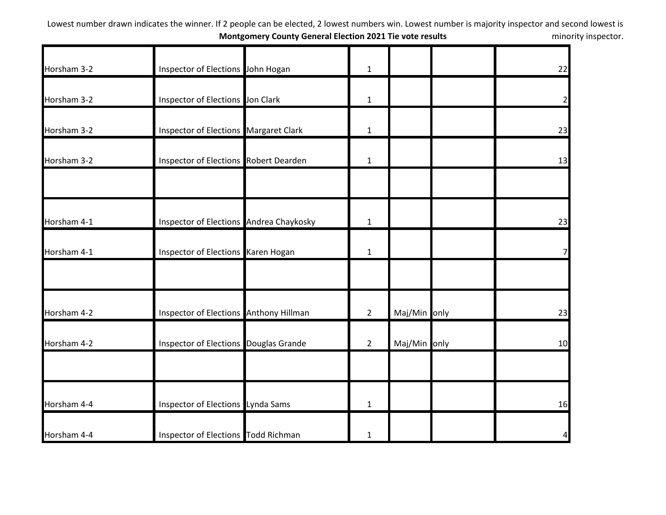| Horsham 3-2                | Inspector of Elections John Hogan            | $\mathbf{1}$   |              | 22             |
|----------------------------|----------------------------------------------|----------------|--------------|----------------|
| Horsham 3-2                | Inspector of Elections Jon Clark             | $\mathbf{1}$   |              | $\overline{2}$ |
| Horsham 3-2                | <b>Inspector of Elections Margaret Clark</b> | $\mathbf{1}$   |              | 23             |
| Horsham 3-2                | Inspector of Elections Robert Dearden        | $\mathbf{1}$   |              | 13             |
| Horsham 4-1                | Inspector of Elections Andrea Chaykosky      | $\mathbf{1}$   |              | 23             |
| Horsham 4-1                | Inspector of Elections Karen Hogan           | $\mathbf{1}$   |              | 7              |
| Horsham 4-2                | Inspector of Elections Anthony Hillman       | $\overline{2}$ | Maj/Min only | 23             |
| Horsham 4-2                | Inspector of Elections Douglas Grande        | $\overline{2}$ | Maj/Min only | 10             |
|                            | Inspector of Elections Lynda Sams            | $\mathbf{1}$   |              | 16             |
| Horsham 4-4<br>Horsham 4-4 | Inspector of Elections Todd Richman          | 1              |              | 4              |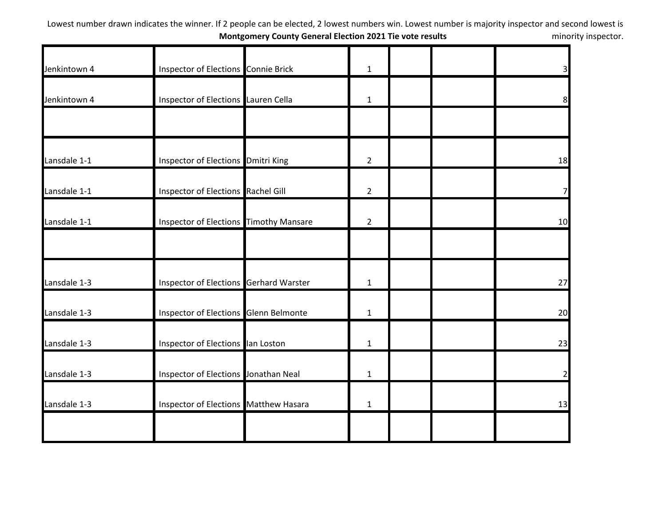| Jenkintown 4 | Inspector of Elections Connie Brick    | $\mathbf{1}$   |  | 3              |
|--------------|----------------------------------------|----------------|--|----------------|
|              |                                        |                |  |                |
| Jenkintown 4 | Inspector of Elections Lauren Cella    | $\mathbf{1}$   |  | 8 <sup>1</sup> |
|              |                                        |                |  |                |
| Lansdale 1-1 | Inspector of Elections Dmitri King     | $\overline{2}$ |  | 18             |
| Lansdale 1-1 | Inspector of Elections Rachel Gill     | $\overline{2}$ |  | 7 <sup>1</sup> |
| Lansdale 1-1 | Inspector of Elections Timothy Mansare | $\overline{2}$ |  | 10             |
|              |                                        |                |  |                |
| Lansdale 1-3 | Inspector of Elections Gerhard Warster | $\mathbf{1}$   |  | 27             |
| Lansdale 1-3 | Inspector of Elections Glenn Belmonte  | $\mathbf{1}$   |  | 20             |
| Lansdale 1-3 | Inspector of Elections lan Loston      | $\mathbf{1}$   |  | 23             |
| Lansdale 1-3 | Inspector of Elections Jonathan Neal   | $\mathbf{1}$   |  | $\overline{2}$ |
| Lansdale 1-3 | Inspector of Elections Matthew Hasara  | $\mathbf{1}$   |  | 13             |
|              |                                        |                |  |                |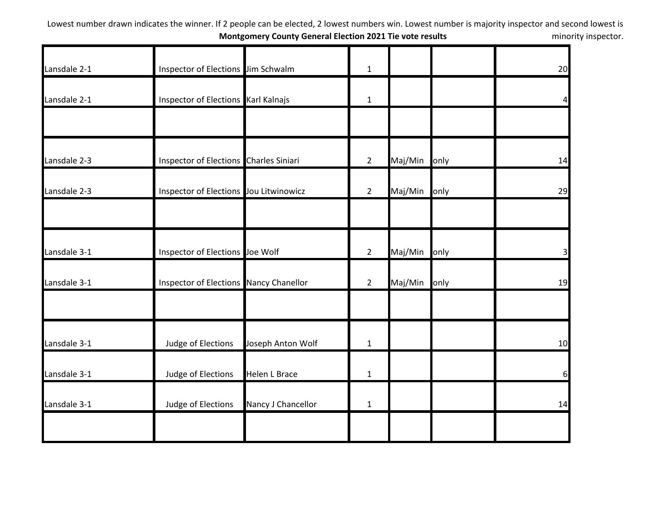| Lansdale 2-1 | Inspector of Elections Jim Schwalm     |                      | $\mathbf{1}$   |         |      | 20                      |
|--------------|----------------------------------------|----------------------|----------------|---------|------|-------------------------|
| Lansdale 2-1 | Inspector of Elections Karl Kalnajs    |                      | $\mathbf{1}$   |         |      | 41                      |
|              |                                        |                      |                |         |      |                         |
| Lansdale 2-3 | Inspector of Elections Charles Siniari |                      | $2^{\circ}$    | Maj/Min | only | 14                      |
| Lansdale 2-3 | Inspector of Elections Jou Litwinowicz |                      | $\overline{2}$ | Maj/Min | only | 29                      |
| Lansdale 3-1 | Inspector of Elections Joe Wolf        |                      | $2^{\circ}$    | Maj/Min | only | $\overline{\mathbf{3}}$ |
| Lansdale 3-1 | Inspector of Elections Nancy Chanellor |                      | $2^{\circ}$    | Maj/Min | only | 19                      |
| Lansdale 3-1 | Judge of Elections                     | Joseph Anton Wolf    | $\mathbf{1}$   |         |      | 10                      |
| Lansdale 3-1 | Judge of Elections                     | <b>Helen L Brace</b> | $\mathbf{1}$   |         |      | 6                       |
| Lansdale 3-1 | Judge of Elections                     | Nancy J Chancellor   | $\mathbf{1}$   |         |      | 14                      |
|              |                                        |                      |                |         |      |                         |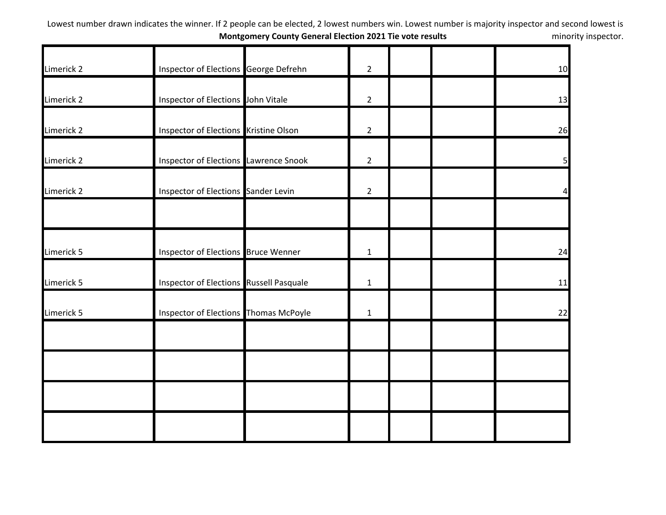|            | Inspector of Elections George Defrehn        | $\overline{2}$ | 10             |
|------------|----------------------------------------------|----------------|----------------|
| Limerick 2 |                                              |                |                |
| Limerick 2 | Inspector of Elections John Vitale           | $2^{\circ}$    | 13             |
| Limerick 2 | Inspector of Elections Kristine Olson        | $\overline{2}$ | 26             |
| Limerick 2 | <b>Inspector of Elections Lawrence Snook</b> | $\overline{2}$ | 5 <sub>l</sub> |
| Limerick 2 | Inspector of Elections Sander Levin          | $\overline{2}$ | 4              |
|            |                                              |                |                |
| Limerick 5 | Inspector of Elections Bruce Wenner          | $\mathbf{1}$   | 24             |
| Limerick 5 | Inspector of Elections Russell Pasquale      | $\mathbf{1}$   | 11             |
| Limerick 5 | Inspector of Elections Thomas McPoyle        | $\mathbf{1}$   | 22             |
|            |                                              |                |                |
|            |                                              |                |                |
|            |                                              |                |                |
|            |                                              |                |                |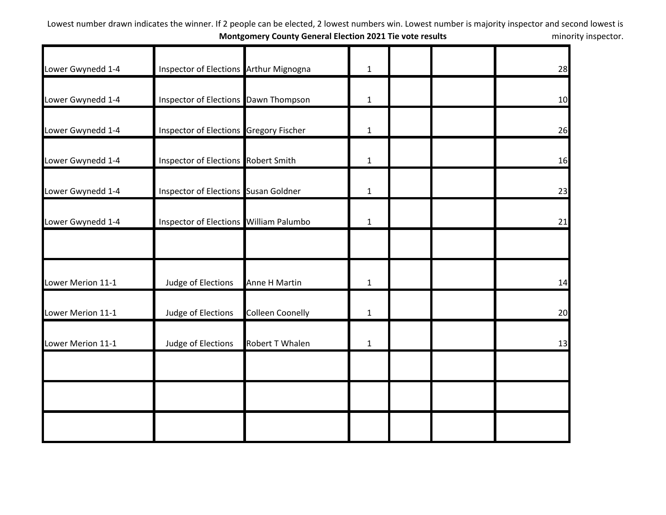| Lower Gwynedd 1-4 | Inspector of Elections Arthur Mignogna |                         | $\mathbf{1}$ |  | 28 |
|-------------------|----------------------------------------|-------------------------|--------------|--|----|
| Lower Gwynedd 1-4 | Inspector of Elections Dawn Thompson   |                         | $\mathbf{1}$ |  | 10 |
| Lower Gwynedd 1-4 | Inspector of Elections Gregory Fischer |                         | $\mathbf{1}$ |  | 26 |
| Lower Gwynedd 1-4 | Inspector of Elections Robert Smith    |                         | $\mathbf{1}$ |  | 16 |
| Lower Gwynedd 1-4 | Inspector of Elections Susan Goldner   |                         | $\mathbf{1}$ |  | 23 |
| Lower Gwynedd 1-4 | Inspector of Elections William Palumbo |                         | $\mathbf{1}$ |  | 21 |
|                   |                                        |                         |              |  |    |
| Lower Merion 11-1 | Judge of Elections                     | Anne H Martin           | $\mathbf{1}$ |  | 14 |
| Lower Merion 11-1 | Judge of Elections                     | <b>Colleen Coonelly</b> | $\mathbf{1}$ |  | 20 |
| Lower Merion 11-1 | Judge of Elections                     | Robert T Whalen         | $\mathbf{1}$ |  | 13 |
|                   |                                        |                         |              |  |    |
|                   |                                        |                         |              |  |    |
|                   |                                        |                         |              |  |    |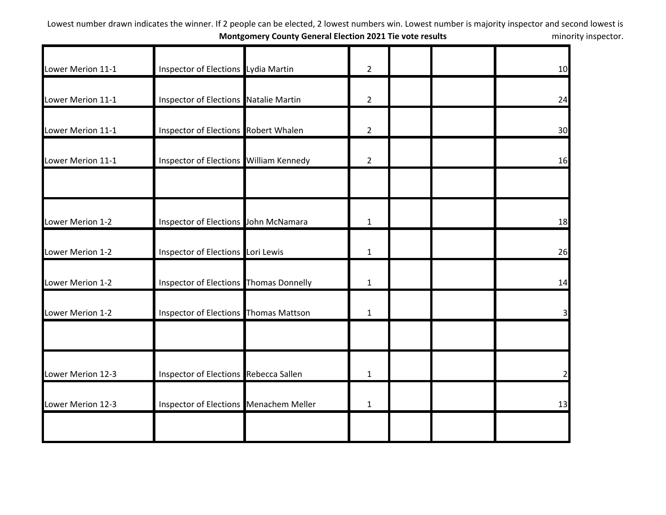| Lower Merion 11-1 | Inspector of Elections Lydia Martin    | $\overline{2}$ | 10 |
|-------------------|----------------------------------------|----------------|----|
| Lower Merion 11-1 | Inspector of Elections Natalie Martin  | $\overline{2}$ | 24 |
| Lower Merion 11-1 | Inspector of Elections Robert Whalen   | $\overline{2}$ | 30 |
| Lower Merion 11-1 | Inspector of Elections William Kennedy | $\overline{2}$ | 16 |
|                   |                                        |                |    |
| Lower Merion 1-2  | Inspector of Elections John McNamara   | $\mathbf{1}$   | 18 |
| Lower Merion 1-2  | Inspector of Elections Lori Lewis      | $\mathbf{1}$   | 26 |
| Lower Merion 1-2  | Inspector of Elections Thomas Donnelly | $\mathbf{1}$   | 14 |
| Lower Merion 1-2  | Inspector of Elections Thomas Mattson  | $\mathbf{1}$   |    |
|                   |                                        |                |    |
| Lower Merion 12-3 | Inspector of Elections Rebecca Sallen  | $\mathbf{1}$   |    |
| Lower Merion 12-3 | Inspector of Elections Menachem Meller | $\mathbf{1}$   | 13 |
|                   |                                        |                |    |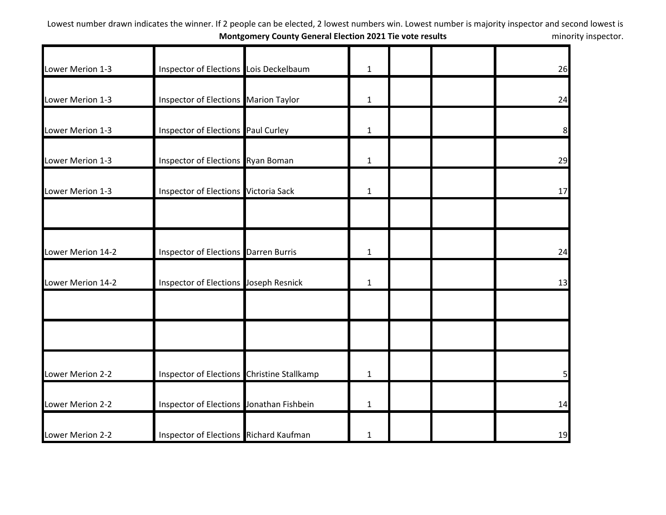| Lower Merion 1-3  | Inspector of Elections Lois Deckelbaum      | $\mathbf{1}$ |  | 26       |
|-------------------|---------------------------------------------|--------------|--|----------|
| Lower Merion 1-3  | <b>Inspector of Elections Marion Taylor</b> | $\mathbf{1}$ |  | 24       |
| Lower Merion 1-3  | Inspector of Elections Paul Curley          | $\mathbf{1}$ |  | 8        |
| Lower Merion 1-3  | Inspector of Elections Ryan Boman           | $\mathbf{1}$ |  | 29       |
| Lower Merion 1-3  | Inspector of Elections Victoria Sack        | $\mathbf{1}$ |  | 17       |
| Lower Merion 14-2 | <b>Inspector of Elections Darren Burris</b> | $\mathbf{1}$ |  | 24       |
| Lower Merion 14-2 | Inspector of Elections Joseph Resnick       | $\mathbf{1}$ |  | 13       |
|                   |                                             |              |  |          |
| Lower Merion 2-2  | Inspector of Elections Christine Stallkamp  | $\mathbf{1}$ |  | $5 \mid$ |
| Lower Merion 2-2  | Inspector of Elections Jonathan Fishbein    | $\mathbf{1}$ |  | 14       |
| Lower Merion 2-2  | Inspector of Elections Richard Kaufman      | $\mathbf{1}$ |  | 19       |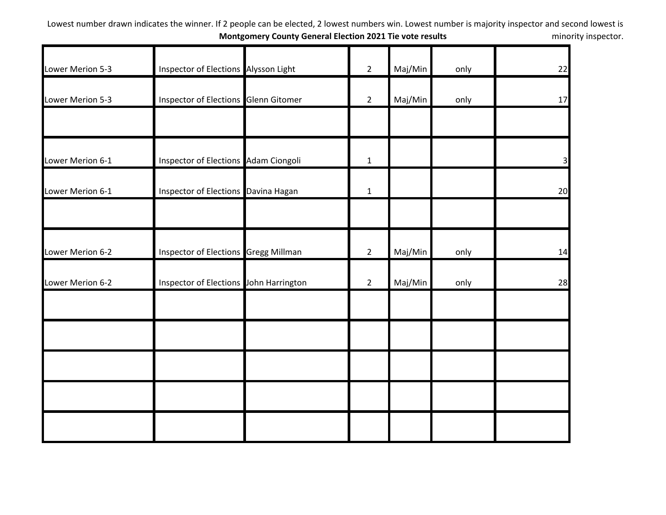| Lower Merion 5-3 | Inspector of Elections Alysson Light   | $\overline{2}$ | Maj/Min | only | 22             |
|------------------|----------------------------------------|----------------|---------|------|----------------|
| Lower Merion 5-3 | Inspector of Elections Glenn Gitomer   | $\overline{2}$ | Maj/Min | only | 17             |
|                  |                                        |                |         |      |                |
| Lower Merion 6-1 | Inspector of Elections Adam Ciongoli   | $\mathbf 1$    |         |      | $\overline{3}$ |
| Lower Merion 6-1 | Inspector of Elections Davina Hagan    | $\mathbf{1}$   |         |      | 20             |
|                  |                                        |                |         |      |                |
| Lower Merion 6-2 | Inspector of Elections Gregg Millman   | $\overline{2}$ | Maj/Min | only | 14             |
| Lower Merion 6-2 | Inspector of Elections John Harrington | $\overline{2}$ | Maj/Min | only | 28             |
|                  |                                        |                |         |      |                |
|                  |                                        |                |         |      |                |
|                  |                                        |                |         |      |                |
|                  |                                        |                |         |      |                |
|                  |                                        |                |         |      |                |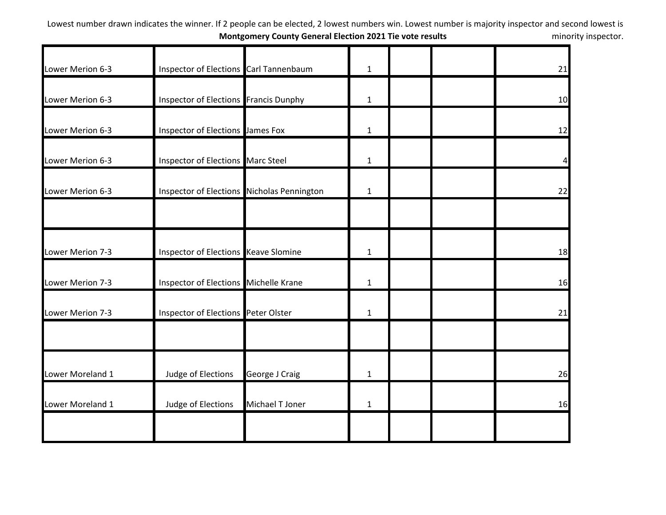| Lower Merion 6-3 | Inspector of Elections Carl Tannenbaum     |                 | $\mathbf{1}$ |  | 21 |
|------------------|--------------------------------------------|-----------------|--------------|--|----|
| Lower Merion 6-3 | Inspector of Elections Francis Dunphy      |                 | $\mathbf{1}$ |  | 10 |
| Lower Merion 6-3 | Inspector of Elections James Fox           |                 | $\mathbf{1}$ |  | 12 |
| Lower Merion 6-3 | Inspector of Elections Marc Steel          |                 | $\mathbf{1}$ |  | 4  |
| Lower Merion 6-3 | Inspector of Elections Nicholas Pennington |                 | 1            |  | 22 |
|                  |                                            |                 |              |  |    |
| Lower Merion 7-3 | Inspector of Elections Keave Slomine       |                 | $\mathbf{1}$ |  | 18 |
| Lower Merion 7-3 | Inspector of Elections Michelle Krane      |                 | $\mathbf{1}$ |  | 16 |
| Lower Merion 7-3 | Inspector of Elections Peter Olster        |                 | 1            |  | 21 |
|                  |                                            |                 |              |  |    |
| Lower Moreland 1 | Judge of Elections                         | George J Craig  | $\mathbf{1}$ |  | 26 |
| Lower Moreland 1 | Judge of Elections                         | Michael T Joner | $\mathbf{1}$ |  | 16 |
|                  |                                            |                 |              |  |    |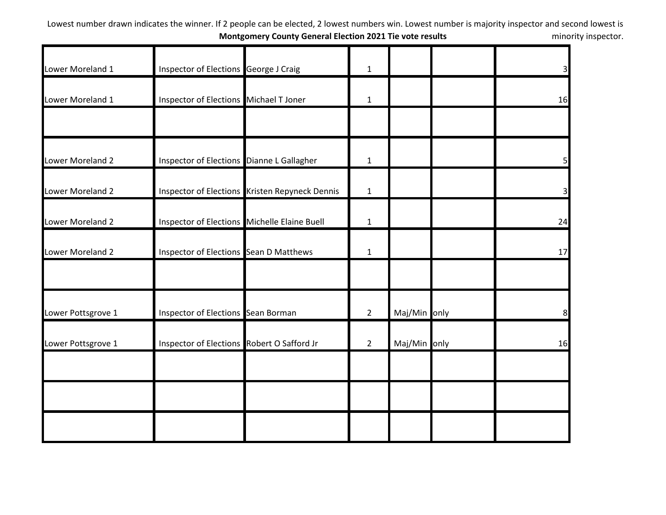| Lower Moreland 1   | Inspector of Elections George J Craig        |                                                | $\mathbf{1}$   |              | $\overline{\mathbf{3}}$ |
|--------------------|----------------------------------------------|------------------------------------------------|----------------|--------------|-------------------------|
| Lower Moreland 1   | Inspector of Elections Michael T Joner       |                                                | $\mathbf{1}$   |              | 16                      |
|                    |                                              |                                                |                |              |                         |
| Lower Moreland 2   | Inspector of Elections Dianne L Gallagher    |                                                | $\mathbf{1}$   |              | 5                       |
| Lower Moreland 2   |                                              | Inspector of Elections Kristen Repyneck Dennis | $\mathbf 1$    |              | 3                       |
| Lower Moreland 2   | Inspector of Elections Michelle Elaine Buell |                                                | $\mathbf{1}$   |              | 24                      |
| Lower Moreland 2   | Inspector of Elections Sean D Matthews       |                                                | $\mathbf{1}$   |              | 17                      |
|                    |                                              |                                                |                |              |                         |
| Lower Pottsgrove 1 | Inspector of Elections Sean Borman           |                                                | $\overline{2}$ | Maj/Min only | 8                       |
| Lower Pottsgrove 1 | Inspector of Elections Robert O Safford Jr   |                                                | $\overline{2}$ | Maj/Min only | 16                      |
|                    |                                              |                                                |                |              |                         |
|                    |                                              |                                                |                |              |                         |
|                    |                                              |                                                |                |              |                         |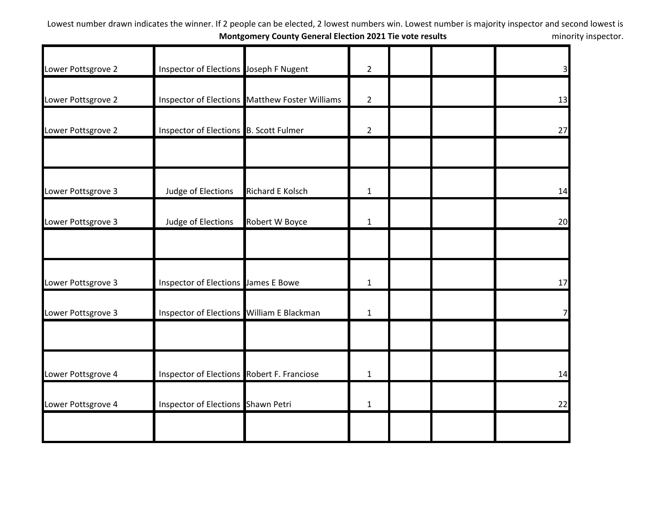| Lower Pottsgrove 2 | Inspector of Elections Joseph F Nugent     |                                                | $\overline{2}$ |  | 3 <sup>l</sup> |
|--------------------|--------------------------------------------|------------------------------------------------|----------------|--|----------------|
| Lower Pottsgrove 2 |                                            | Inspector of Elections Matthew Foster Williams | $\overline{2}$ |  | 13             |
| Lower Pottsgrove 2 | Inspector of Elections B. Scott Fulmer     |                                                | $\overline{2}$ |  | 27             |
|                    |                                            |                                                |                |  |                |
| Lower Pottsgrove 3 | Judge of Elections                         | Richard E Kolsch                               | $\mathbf{1}$   |  | 14             |
| Lower Pottsgrove 3 | Judge of Elections                         | Robert W Boyce                                 | $\mathbf{1}$   |  | 20             |
|                    |                                            |                                                |                |  |                |
| Lower Pottsgrove 3 | Inspector of Elections James E Bowe        |                                                | $\mathbf{1}$   |  | 17             |
| Lower Pottsgrove 3 | Inspector of Elections William E Blackman  |                                                | $\mathbf{1}$   |  | 7              |
|                    |                                            |                                                |                |  |                |
| Lower Pottsgrove 4 | Inspector of Elections Robert F. Franciose |                                                | $\mathbf{1}$   |  | 14             |
| Lower Pottsgrove 4 | Inspector of Elections Shawn Petri         |                                                | $\mathbf{1}$   |  | 22             |
|                    |                                            |                                                |                |  |                |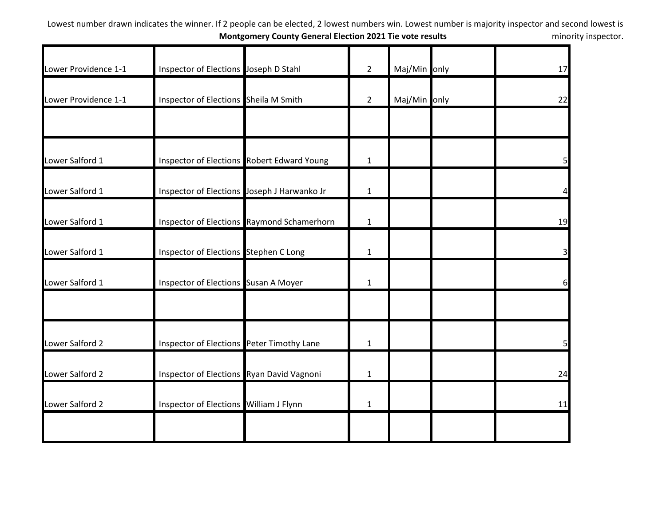| Lower Providence 1-1 | Inspector of Elections Joseph D Stahl       |                                            | $\overline{2}$ | Maj/Min only | 17 |
|----------------------|---------------------------------------------|--------------------------------------------|----------------|--------------|----|
| Lower Providence 1-1 | Inspector of Elections Sheila M Smith       |                                            | $\overline{2}$ | Maj/Min only | 22 |
|                      |                                             |                                            |                |              |    |
| Lower Salford 1      |                                             | Inspector of Elections Robert Edward Young | $\mathbf 1$    |              | 5  |
| Lower Salford 1      | Inspector of Elections Joseph J Harwanko Jr |                                            | $\mathbf{1}$   |              |    |
| Lower Salford 1      |                                             | Inspector of Elections Raymond Schamerhorn | $\mathbf{1}$   |              | 19 |
| Lower Salford 1      | Inspector of Elections Stephen C Long       |                                            | $\mathbf{1}$   |              | 3  |
| Lower Salford 1      | Inspector of Elections Susan A Moyer        |                                            | $\mathbf{1}$   |              | 6  |
|                      |                                             |                                            |                |              |    |
| Lower Salford 2      | Inspector of Elections Peter Timothy Lane   |                                            | $\mathbf{1}$   |              | 5  |
| Lower Salford 2      | Inspector of Elections Ryan David Vagnoni   |                                            | $\mathbf{1}$   |              | 24 |
| Lower Salford 2      | Inspector of Elections William J Flynn      |                                            | $\mathbf{1}$   |              | 11 |
|                      |                                             |                                            |                |              |    |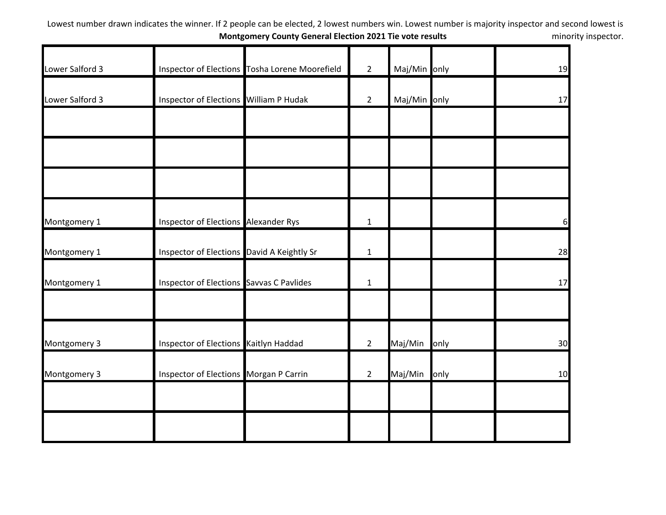| Lower Salford 3 |                                            | Inspector of Elections Tosha Lorene Moorefield | $\overline{2}$ | Maj/Min only |      | 19 |
|-----------------|--------------------------------------------|------------------------------------------------|----------------|--------------|------|----|
|                 |                                            |                                                |                |              |      |    |
| Lower Salford 3 | Inspector of Elections William P Hudak     |                                                | $2^{\circ}$    | Maj/Min only |      | 17 |
|                 |                                            |                                                |                |              |      |    |
|                 |                                            |                                                |                |              |      |    |
|                 |                                            |                                                |                |              |      |    |
| Montgomery 1    | Inspector of Elections Alexander Rys       |                                                | $\mathbf{1}$   |              |      | 6  |
| Montgomery 1    | Inspector of Elections David A Keightly Sr |                                                | $\mathbf{1}$   |              |      | 28 |
| Montgomery 1    | Inspector of Elections Savvas C Pavlides   |                                                | $\mathbf 1$    |              |      | 17 |
|                 |                                            |                                                |                |              |      |    |
| Montgomery 3    | Inspector of Elections Kaitlyn Haddad      |                                                | $\overline{2}$ | Maj/Min      | only | 30 |
| Montgomery 3    | Inspector of Elections Morgan P Carrin     |                                                | $\overline{2}$ | Maj/Min      | only | 10 |
|                 |                                            |                                                |                |              |      |    |
|                 |                                            |                                                |                |              |      |    |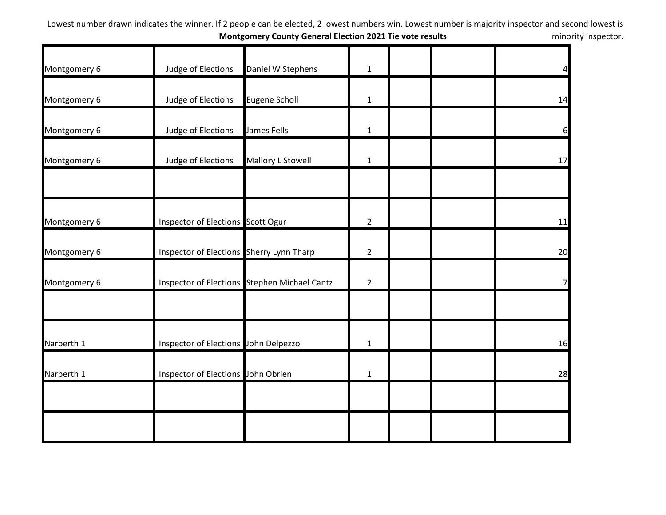| Montgomery 6 | Judge of Elections                       | Daniel W Stephens                            | $\mathbf{1}$   |  | $\overline{a}$ |
|--------------|------------------------------------------|----------------------------------------------|----------------|--|----------------|
|              |                                          |                                              |                |  |                |
| Montgomery 6 | Judge of Elections                       | <b>Eugene Scholl</b>                         | $\mathbf{1}$   |  | 14             |
| Montgomery 6 | Judge of Elections                       | James Fells                                  | $\mathbf{1}$   |  | 6              |
| Montgomery 6 | Judge of Elections                       | Mallory L Stowell                            | $\mathbf{1}$   |  | 17             |
|              |                                          |                                              |                |  |                |
| Montgomery 6 | Inspector of Elections Scott Ogur        |                                              | $\overline{2}$ |  | 11             |
| Montgomery 6 | Inspector of Elections Sherry Lynn Tharp |                                              | $\overline{2}$ |  | 20             |
| Montgomery 6 |                                          | Inspector of Elections Stephen Michael Cantz | $\overline{2}$ |  | 7              |
|              |                                          |                                              |                |  |                |
| Narberth 1   | Inspector of Elections John Delpezzo     |                                              | $\mathbf{1}$   |  | 16             |
| Narberth 1   | Inspector of Elections John Obrien       |                                              | $\mathbf{1}$   |  | 28             |
|              |                                          |                                              |                |  |                |
|              |                                          |                                              |                |  |                |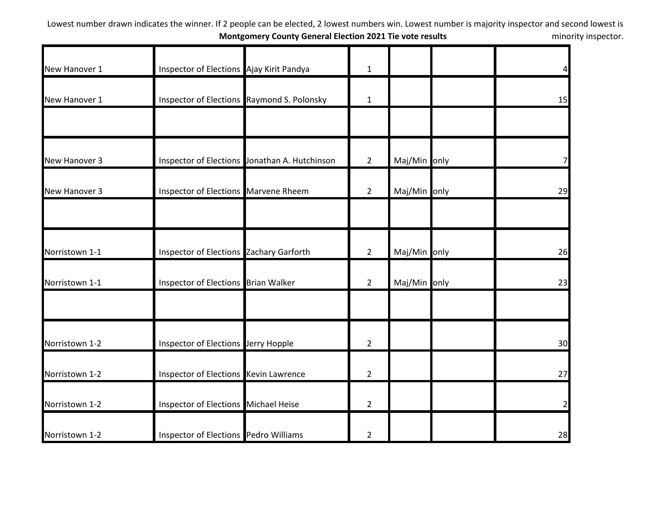| New Hanover 1  | Inspector of Elections Ajay Kirit Pandya       |                                               | $\mathbf{1}$   |              | 4              |
|----------------|------------------------------------------------|-----------------------------------------------|----------------|--------------|----------------|
| New Hanover 1  |                                                | Inspector of Elections Raymond S. Polonsky    | $\mathbf{1}$   |              | 15             |
|                |                                                |                                               |                |              |                |
| New Hanover 3  |                                                | Inspector of Elections Jonathan A. Hutchinson | $2^{\circ}$    | Maj/Min only |                |
| New Hanover 3  | Inspector of Elections Marvene Rheem           |                                               | $\overline{2}$ | Maj/Min only | 29             |
| Norristown 1-1 | <b>Inspector of Elections Zachary Garforth</b> |                                               | $2^{\circ}$    | Maj/Min only | 26             |
| Norristown 1-1 | Inspector of Elections Brian Walker            |                                               | $2^{\circ}$    | Maj/Min only | 23             |
|                |                                                |                                               |                |              |                |
| Norristown 1-2 | Inspector of Elections Jerry Hopple            |                                               | $\overline{2}$ |              | 30             |
| Norristown 1-2 | Inspector of Elections Kevin Lawrence          |                                               | $\overline{2}$ |              | 27             |
| Norristown 1-2 | Inspector of Elections Michael Heise           |                                               | $\overline{2}$ |              | $\overline{2}$ |
| Norristown 1-2 | Inspector of Elections Pedro Williams          |                                               | $\overline{2}$ |              | 28             |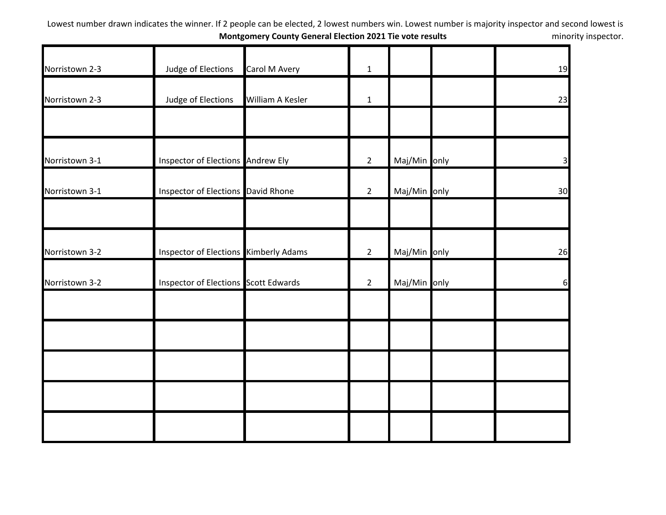| Norristown 2-3 | Judge of Elections                    | Carol M Avery    | $\mathbf{1}$   |              | 19                      |
|----------------|---------------------------------------|------------------|----------------|--------------|-------------------------|
| Norristown 2-3 | Judge of Elections                    | William A Kesler | $\mathbf{1}$   |              | 23                      |
|                |                                       |                  |                |              |                         |
| Norristown 3-1 | Inspector of Elections Andrew Ely     |                  | $\overline{2}$ | Maj/Min only | $\overline{\mathsf{3}}$ |
| Norristown 3-1 | Inspector of Elections David Rhone    |                  | $2^{\circ}$    | Maj/Min only | 30                      |
|                |                                       |                  |                |              |                         |
| Norristown 3-2 | Inspector of Elections Kimberly Adams |                  | $2^{\circ}$    | Maj/Min only | 26                      |
| Norristown 3-2 | Inspector of Elections Scott Edwards  |                  | $\overline{2}$ | Maj/Min only | 6                       |
|                |                                       |                  |                |              |                         |
|                |                                       |                  |                |              |                         |
|                |                                       |                  |                |              |                         |
|                |                                       |                  |                |              |                         |
|                |                                       |                  |                |              |                         |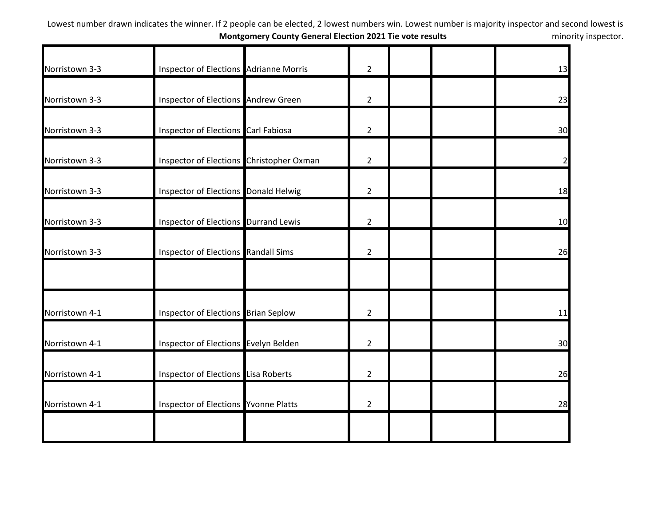| Norristown 3-3 | Inspector of Elections Adrianne Morris      | $\overline{2}$ | 13             |
|----------------|---------------------------------------------|----------------|----------------|
| Norristown 3-3 | Inspector of Elections Andrew Green         | $\overline{2}$ | 23             |
| Norristown 3-3 | Inspector of Elections Carl Fabiosa         | $\overline{2}$ | 30             |
| Norristown 3-3 | Inspector of Elections Christopher Oxman    | $\overline{2}$ | $\overline{2}$ |
| Norristown 3-3 | <b>Inspector of Elections Donald Helwig</b> | $\overline{2}$ | 18             |
| Norristown 3-3 | Inspector of Elections Durrand Lewis        | $\overline{2}$ | 10             |
| Norristown 3-3 | Inspector of Elections Randall Sims         | $\overline{2}$ | 26             |
| Norristown 4-1 | Inspector of Elections Brian Seplow         | $\overline{2}$ | 11             |
| Norristown 4-1 | Inspector of Elections Evelyn Belden        | $\overline{2}$ | 30             |
| Norristown 4-1 | Inspector of Elections Lisa Roberts         | $\overline{2}$ | 26             |
| Norristown 4-1 | <b>Inspector of Elections Yvonne Platts</b> | $\overline{2}$ | 28             |
|                |                                             |                |                |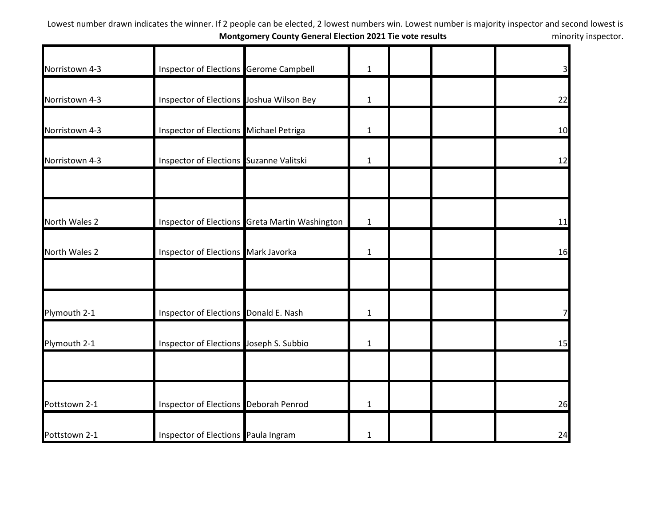| Norristown 4-3 | Inspector of Elections Gerome Campbell   |                                                | $\mathbf{1}$ |  | $\overline{3}$ |
|----------------|------------------------------------------|------------------------------------------------|--------------|--|----------------|
| Norristown 4-3 | Inspector of Elections Joshua Wilson Bey |                                                | $\mathbf{1}$ |  | 22             |
| Norristown 4-3 | Inspector of Elections Michael Petriga   |                                                | $\mathbf{1}$ |  | 10             |
| Norristown 4-3 | Inspector of Elections Suzanne Valitski  |                                                | $\mathbf{1}$ |  | 12             |
|                |                                          |                                                |              |  |                |
| North Wales 2  |                                          | Inspector of Elections Greta Martin Washington | $\mathbf{1}$ |  | 11             |
| North Wales 2  | Inspector of Elections Mark Javorka      |                                                | $\mathbf{1}$ |  | 16             |
|                |                                          |                                                |              |  |                |
| Plymouth 2-1   | Inspector of Elections Donald E. Nash    |                                                | $\mathbf{1}$ |  | 7              |
| Plymouth 2-1   | Inspector of Elections Joseph S. Subbio  |                                                | $\mathbf{1}$ |  | 15             |
|                |                                          |                                                |              |  |                |
| Pottstown 2-1  | Inspector of Elections Deborah Penrod    |                                                | $\mathbf{1}$ |  | 26             |
| Pottstown 2-1  | Inspector of Elections Paula Ingram      |                                                | $\mathbf{1}$ |  | 24             |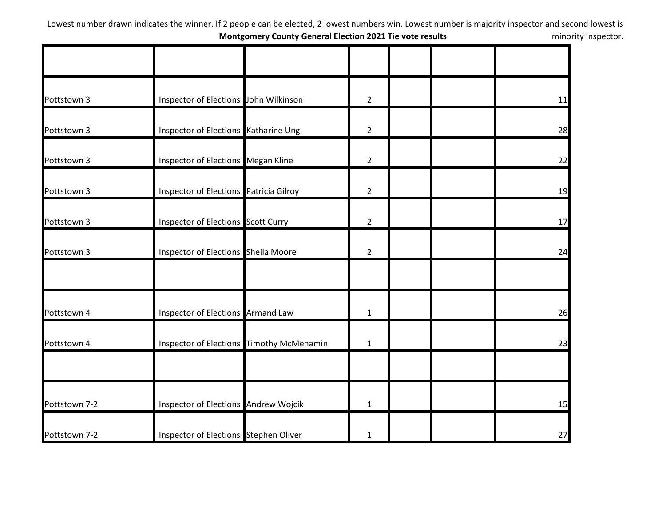| Pottstown 3   | Inspector of Elections John Wilkinson     | $\overline{2}$ |  | 11 |
|---------------|-------------------------------------------|----------------|--|----|
| Pottstown 3   | Inspector of Elections Katharine Ung      | $\overline{2}$ |  | 28 |
| Pottstown 3   | Inspector of Elections Megan Kline        | $\overline{2}$ |  | 22 |
| Pottstown 3   | Inspector of Elections Patricia Gilroy    | $\overline{2}$ |  | 19 |
| Pottstown 3   | <b>Inspector of Elections Scott Curry</b> | $\overline{2}$ |  | 17 |
| Pottstown 3   | Inspector of Elections Sheila Moore       | $\overline{2}$ |  | 24 |
|               |                                           |                |  |    |
| Pottstown 4   | Inspector of Elections Armand Law         | $\mathbf{1}$   |  | 26 |
| Pottstown 4   | Inspector of Elections Timothy McMenamin  | $\mathbf{1}$   |  | 23 |
|               |                                           |                |  |    |
| Pottstown 7-2 | Inspector of Elections Andrew Wojcik      | $\mathbf{1}$   |  | 15 |
| Pottstown 7-2 | Inspector of Elections Stephen Oliver     | $\mathbf{1}$   |  | 27 |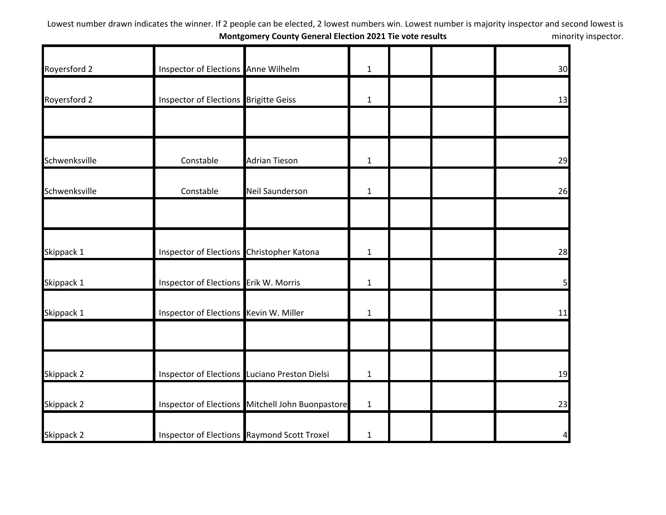| Royersford 2  | Inspector of Elections Anne Wilhelm       |                                                  | $\mathbf{1}$ |  | 30 |
|---------------|-------------------------------------------|--------------------------------------------------|--------------|--|----|
| Royersford 2  | Inspector of Elections Brigitte Geiss     |                                                  | $\mathbf{1}$ |  | 13 |
|               |                                           |                                                  |              |  |    |
| Schwenksville | Constable                                 | <b>Adrian Tieson</b>                             | $\mathbf{1}$ |  | 29 |
| Schwenksville | Constable                                 | <b>Neil Saunderson</b>                           | $\mathbf{1}$ |  | 26 |
| Skippack 1    | Inspector of Elections Christopher Katona |                                                  | $\mathbf{1}$ |  | 28 |
| Skippack 1    | Inspector of Elections Erik W. Morris     |                                                  | $\mathbf{1}$ |  | 5  |
| Skippack 1    | Inspector of Elections Kevin W. Miller    |                                                  | $\mathbf{1}$ |  | 11 |
| Skippack 2    |                                           | Inspector of Elections Luciano Preston Dielsi    | $\mathbf{1}$ |  | 19 |
| Skippack 2    |                                           | Inspector of Elections Mitchell John Buonpastore | $\mathbf{1}$ |  | 23 |
| Skippack 2    |                                           | Inspector of Elections Raymond Scott Troxel      | $\mathbf{1}$ |  | 4  |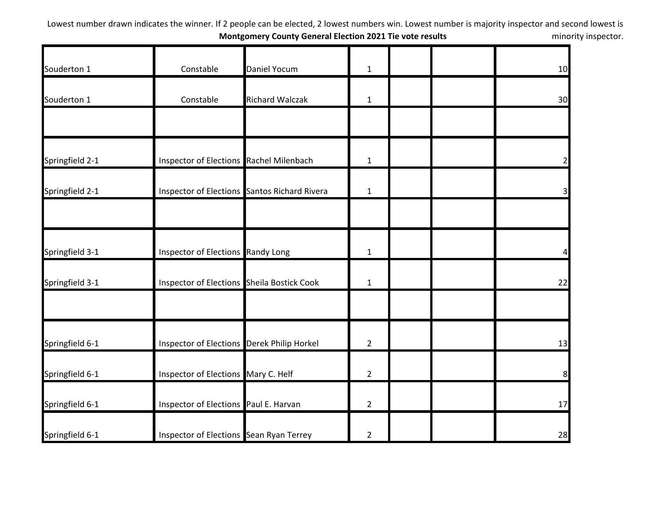| Souderton 1     | Constable                                         | Daniel Yocum                                        | $\mathbf{1}$   |  | 10             |
|-----------------|---------------------------------------------------|-----------------------------------------------------|----------------|--|----------------|
| Souderton 1     | Constable                                         | <b>Richard Walczak</b>                              | $\mathbf{1}$   |  | 30             |
|                 |                                                   |                                                     |                |  |                |
| Springfield 2-1 | Inspector of Elections Rachel Milenbach           |                                                     | $\mathbf{1}$   |  | $\overline{2}$ |
| Springfield 2-1 |                                                   | <b>Inspector of Elections Santos Richard Rivera</b> | $\mathbf{1}$   |  | $\overline{3}$ |
|                 |                                                   |                                                     |                |  |                |
| Springfield 3-1 | Inspector of Elections Randy Long                 |                                                     | $\mathbf 1$    |  | $\overline{4}$ |
| Springfield 3-1 | <b>Inspector of Elections</b> Sheila Bostick Cook |                                                     | $\mathbf 1$    |  | 22             |
|                 |                                                   |                                                     |                |  |                |
| Springfield 6-1 | Inspector of Elections Derek Philip Horkel        |                                                     | $\overline{2}$ |  | 13             |
| Springfield 6-1 | Inspector of Elections Mary C. Helf               |                                                     | $\overline{2}$ |  | 8              |
| Springfield 6-1 | Inspector of Elections Paul E. Harvan             |                                                     | $\overline{2}$ |  | 17             |
| Springfield 6-1 | Inspector of Elections Sean Ryan Terrey           |                                                     | $\overline{2}$ |  | 28             |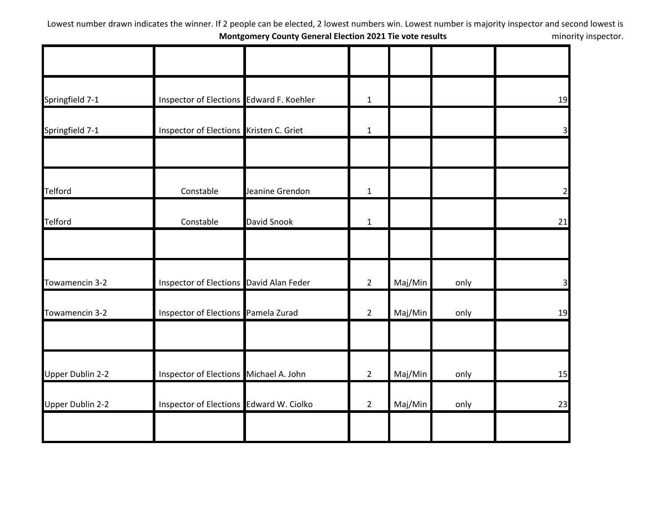| Springfield 7-1         | Inspector of Elections Edward F. Koehler |                 | $\mathbf{1}$   |         |      | 19             |
|-------------------------|------------------------------------------|-----------------|----------------|---------|------|----------------|
| Springfield 7-1         | Inspector of Elections Kristen C. Griet  |                 | $\mathbf{1}$   |         |      | 3 <sup>l</sup> |
| <b>Telford</b>          | Constable                                | Jeanine Grendon | $\mathbf{1}$   |         |      | 2              |
| <b>Telford</b>          | Constable                                | David Snook     | $\mathbf{1}$   |         |      | 21             |
|                         |                                          |                 |                |         |      |                |
| Towamencin 3-2          | Inspector of Elections David Alan Feder  |                 | $\overline{2}$ | Maj/Min | only | 31             |
| Towamencin 3-2          | Inspector of Elections Pamela Zurad      |                 | $\overline{2}$ | Maj/Min | only | 19             |
| <b>Upper Dublin 2-2</b> | Inspector of Elections Michael A. John   |                 | $\overline{2}$ | Maj/Min | only | 15             |
| <b>Upper Dublin 2-2</b> | Inspector of Elections Edward W. Ciolko  |                 | $\overline{2}$ | Maj/Min | only | 23             |
|                         |                                          |                 |                |         |      |                |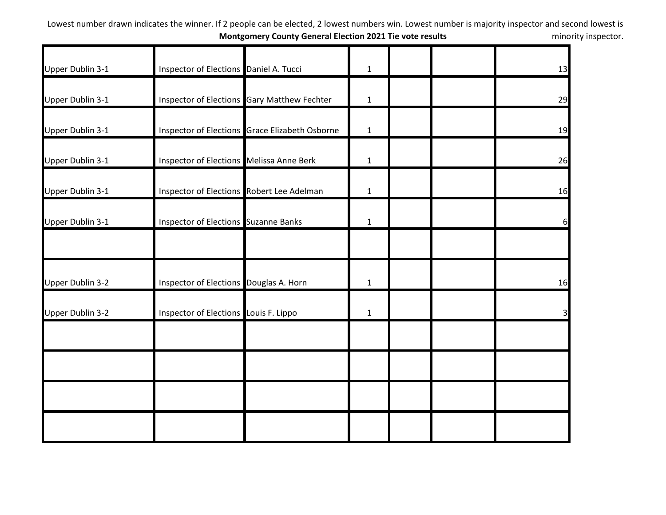| Upper Dublin 3-1        | Inspector of Elections Daniel A. Tucci    |                                                | $\mathbf{1}$ |  | 13 |
|-------------------------|-------------------------------------------|------------------------------------------------|--------------|--|----|
| Upper Dublin 3-1        |                                           | Inspector of Elections Gary Matthew Fechter    | $\mathbf{1}$ |  | 29 |
| Upper Dublin 3-1        |                                           | Inspector of Elections Grace Elizabeth Osborne | $\mathbf{1}$ |  | 19 |
| Upper Dublin 3-1        | Inspector of Elections Melissa Anne Berk  |                                                | $\mathbf{1}$ |  | 26 |
| Upper Dublin 3-1        | Inspector of Elections Robert Lee Adelman |                                                | $\mathbf{1}$ |  | 16 |
| Upper Dublin 3-1        | Inspector of Elections Suzanne Banks      |                                                | $\mathbf{1}$ |  | 6  |
|                         |                                           |                                                |              |  |    |
| <b>Upper Dublin 3-2</b> | Inspector of Elections Douglas A. Horn    |                                                | $\mathbf{1}$ |  | 16 |
| <b>Upper Dublin 3-2</b> | Inspector of Elections Louis F. Lippo     |                                                | $\mathbf{1}$ |  | 31 |
|                         |                                           |                                                |              |  |    |
|                         |                                           |                                                |              |  |    |
|                         |                                           |                                                |              |  |    |
|                         |                                           |                                                |              |  |    |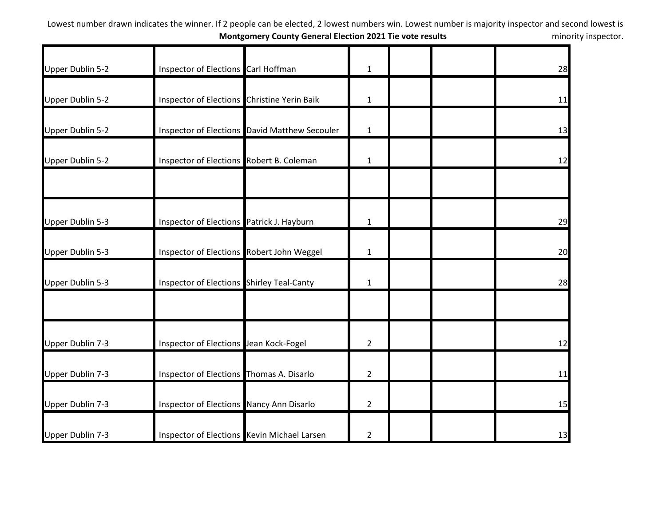| Upper Dublin 5-2 | Inspector of Elections Carl Hoffman         |                                               | $\mathbf{1}$   |  | 28 |
|------------------|---------------------------------------------|-----------------------------------------------|----------------|--|----|
| Upper Dublin 5-2 | Inspector of Elections Christine Yerin Baik |                                               | $\mathbf{1}$   |  | 11 |
| Upper Dublin 5-2 |                                             | Inspector of Elections David Matthew Secouler | $\mathbf{1}$   |  | 13 |
| Upper Dublin 5-2 | Inspector of Elections Robert B. Coleman    |                                               | $\mathbf{1}$   |  | 12 |
| Upper Dublin 5-3 | Inspector of Elections Patrick J. Hayburn   |                                               | $\mathbf{1}$   |  | 29 |
| Upper Dublin 5-3 | Inspector of Elections Robert John Weggel   |                                               | $\mathbf{1}$   |  | 20 |
| Upper Dublin 5-3 | Inspector of Elections Shirley Teal-Canty   |                                               | $\mathbf 1$    |  | 28 |
| Upper Dublin 7-3 | Inspector of Elections Jean Kock-Fogel      |                                               | $\overline{2}$ |  | 12 |
| Upper Dublin 7-3 | Inspector of Elections Thomas A. Disarlo    |                                               | $\overline{2}$ |  | 11 |
| Upper Dublin 7-3 | Inspector of Elections Nancy Ann Disarlo    |                                               | $\overline{2}$ |  | 15 |
| Upper Dublin 7-3 | Inspector of Elections Kevin Michael Larsen |                                               | $\overline{2}$ |  | 13 |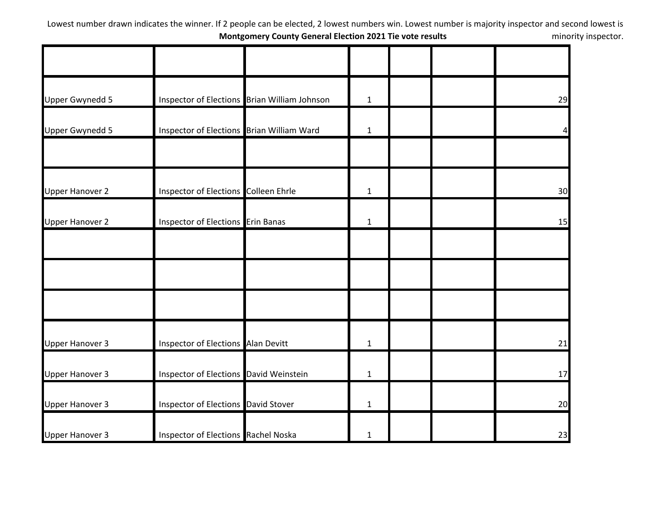| <b>Upper Gwynedd 5</b> |                                            | Inspector of Elections Brian William Johnson | $\mathbf{1}$ |  | 29             |
|------------------------|--------------------------------------------|----------------------------------------------|--------------|--|----------------|
| <b>Upper Gwynedd 5</b> | Inspector of Elections Brian William Ward  |                                              | $\mathbf{1}$ |  | $\overline{4}$ |
|                        |                                            |                                              |              |  |                |
| <b>Upper Hanover 2</b> | Inspector of Elections Colleen Ehrle       |                                              | $\mathbf{1}$ |  | 30             |
| <b>Upper Hanover 2</b> | Inspector of Elections Erin Banas          |                                              | $\mathbf{1}$ |  | 15             |
|                        |                                            |                                              |              |  |                |
|                        |                                            |                                              |              |  |                |
|                        |                                            |                                              |              |  |                |
| <b>Upper Hanover 3</b> | Inspector of Elections Alan Devitt         |                                              | $\mathbf{1}$ |  | 21             |
| <b>Upper Hanover 3</b> | Inspector of Elections David Weinstein     |                                              | $\mathbf{1}$ |  | 17             |
| <b>Upper Hanover 3</b> | Inspector of Elections David Stover        |                                              | $\mathbf{1}$ |  | 20             |
| <b>Upper Hanover 3</b> | <b>Inspector of Elections Rachel Noska</b> |                                              | $\mathbf{1}$ |  | 23             |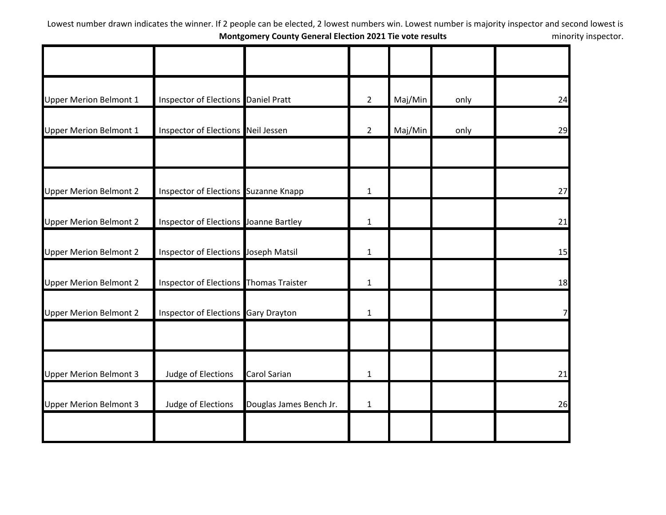| <b>Upper Merion Belmont 1</b> | Inspector of Elections Daniel Pratt           |                         | $\overline{2}$ | Maj/Min | only | 24 |
|-------------------------------|-----------------------------------------------|-------------------------|----------------|---------|------|----|
| <b>Upper Merion Belmont 1</b> | Inspector of Elections Neil Jessen            |                         | $2^{\circ}$    | Maj/Min | only | 29 |
| <b>Upper Merion Belmont 2</b> | Inspector of Elections Suzanne Knapp          |                         | $\mathbf{1}$   |         |      | 27 |
| <b>Upper Merion Belmont 2</b> | Inspector of Elections Joanne Bartley         |                         | $\mathbf{1}$   |         |      | 21 |
| <b>Upper Merion Belmont 2</b> | Inspector of Elections Joseph Matsil          |                         | $\mathbf{1}$   |         |      | 15 |
| <b>Upper Merion Belmont 2</b> | <b>Inspector of Elections Thomas Traister</b> |                         | $\mathbf{1}$   |         |      | 18 |
| <b>Upper Merion Belmont 2</b> | Inspector of Elections Gary Drayton           |                         | $\mathbf{1}$   |         |      | 7  |
| <b>Upper Merion Belmont 3</b> | Judge of Elections                            | Carol Sarian            | $\mathbf{1}$   |         |      | 21 |
| <b>Upper Merion Belmont 3</b> | Judge of Elections                            | Douglas James Bench Jr. | $\mathbf{1}$   |         |      | 26 |
|                               |                                               |                         |                |         |      |    |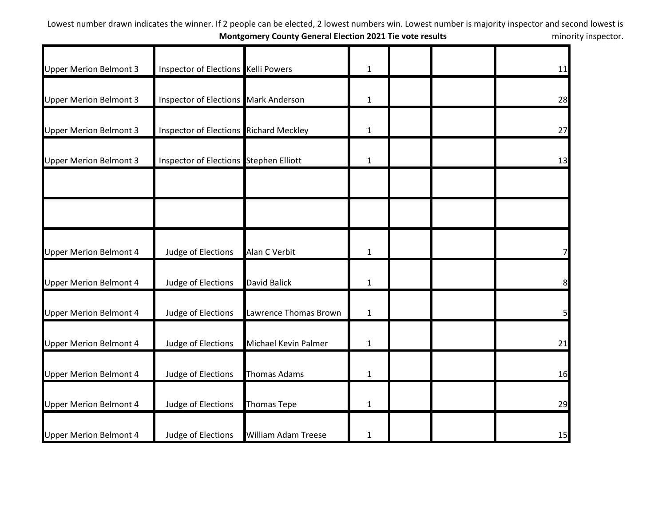| <b>Upper Merion Belmont 3</b> | Inspector of Elections Kelli Powers           |                            | 1            |  | 11             |
|-------------------------------|-----------------------------------------------|----------------------------|--------------|--|----------------|
| <b>Upper Merion Belmont 3</b> | Inspector of Elections Mark Anderson          |                            | $\mathbf 1$  |  | 28             |
| <b>Upper Merion Belmont 3</b> | <b>Inspector of Elections Richard Meckley</b> |                            | $\mathbf{1}$ |  | 27             |
| <b>Upper Merion Belmont 3</b> | Inspector of Elections Stephen Elliott        |                            | $\mathbf{1}$ |  | 13             |
|                               |                                               |                            |              |  |                |
|                               |                                               |                            |              |  |                |
| <b>Upper Merion Belmont 4</b> | Judge of Elections                            | Alan C Verbit              | $\mathbf 1$  |  |                |
| <b>Upper Merion Belmont 4</b> | Judge of Elections                            | <b>David Balick</b>        | $\mathbf 1$  |  | 8              |
| <b>Upper Merion Belmont 4</b> | Judge of Elections                            | Lawrence Thomas Brown      | $\mathbf{1}$ |  | $\overline{5}$ |
| <b>Upper Merion Belmont 4</b> | Judge of Elections                            | Michael Kevin Palmer       | 1            |  | 21             |
| <b>Upper Merion Belmont 4</b> | Judge of Elections                            | <b>Thomas Adams</b>        | $\mathbf{1}$ |  | 16             |
| <b>Upper Merion Belmont 4</b> | Judge of Elections                            | <b>Thomas Tepe</b>         | $\mathbf{1}$ |  | 29             |
| <b>Upper Merion Belmont 4</b> | Judge of Elections                            | <b>William Adam Treese</b> | 1            |  | 15             |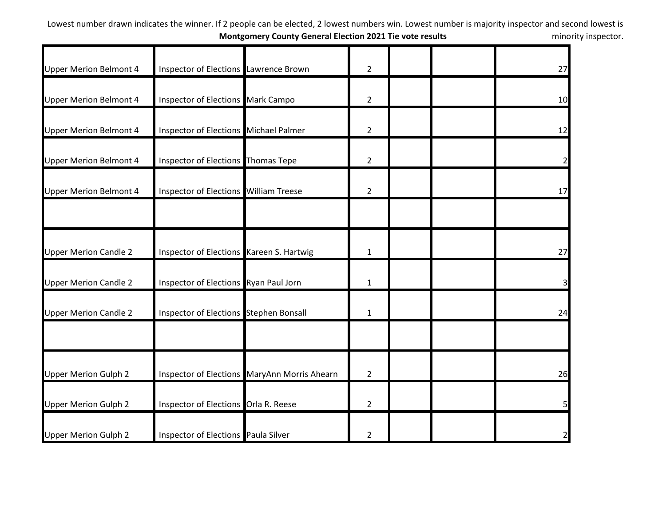| <b>Upper Merion Belmont 4</b> | Inspector of Elections Lawrence Brown        |                                              | $\overline{2}$ |  | 27           |
|-------------------------------|----------------------------------------------|----------------------------------------------|----------------|--|--------------|
| <b>Upper Merion Belmont 4</b> | Inspector of Elections Mark Campo            |                                              | $\overline{2}$ |  | 10           |
| <b>Upper Merion Belmont 4</b> | Inspector of Elections Michael Palmer        |                                              | $\overline{2}$ |  | 12           |
| <b>Upper Merion Belmont 4</b> | Inspector of Elections Thomas Tepe           |                                              | $\overline{2}$ |  |              |
| <b>Upper Merion Belmont 4</b> | <b>Inspector of Elections William Treese</b> |                                              | $\overline{2}$ |  | 17           |
|                               |                                              |                                              |                |  |              |
| <b>Upper Merion Candle 2</b>  | Inspector of Elections Kareen S. Hartwig     |                                              | $\mathbf{1}$   |  | 27           |
| <b>Upper Merion Candle 2</b>  | Inspector of Elections Ryan Paul Jorn        |                                              | $\mathbf{1}$   |  |              |
| <b>Upper Merion Candle 2</b>  | Inspector of Elections Stephen Bonsall       |                                              | $\mathbf{1}$   |  | 24           |
|                               |                                              |                                              |                |  |              |
| <b>Upper Merion Gulph 2</b>   |                                              | Inspector of Elections MaryAnn Morris Ahearn | $\overline{2}$ |  | 26           |
| <b>Upper Merion Gulph 2</b>   | Inspector of Elections Orla R. Reese         |                                              | $\overline{2}$ |  |              |
| <b>Upper Merion Gulph 2</b>   | Inspector of Elections Paula Silver          |                                              | $\overline{2}$ |  | $\mathbf{z}$ |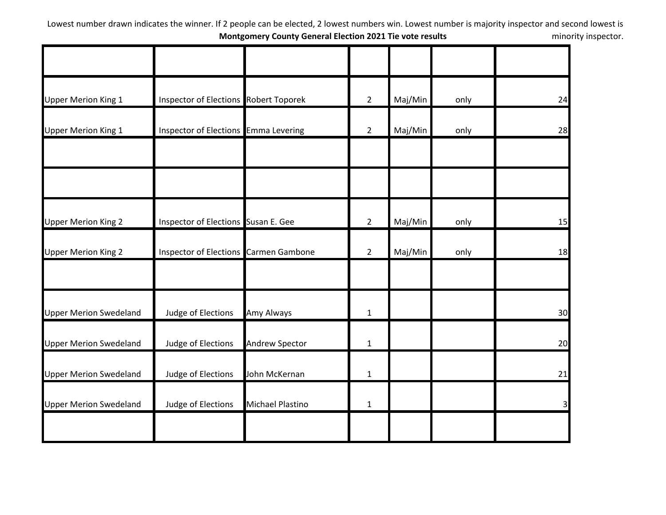| <b>Upper Merion King 1</b>    | <b>Inspector of Elections Robert Toporek</b> |                         | $\overline{2}$ | Maj/Min | only | 24                      |
|-------------------------------|----------------------------------------------|-------------------------|----------------|---------|------|-------------------------|
| <b>Upper Merion King 1</b>    | Inspector of Elections Emma Levering         |                         | $2^{\circ}$    | Maj/Min | only | 28                      |
|                               |                                              |                         |                |         |      |                         |
|                               |                                              |                         |                |         |      |                         |
| <b>Upper Merion King 2</b>    | Inspector of Elections Susan E. Gee          |                         | $\overline{2}$ | Maj/Min | only | 15                      |
| <b>Upper Merion King 2</b>    | <b>Inspector of Elections Carmen Gambone</b> |                         | $\overline{2}$ | Maj/Min | only | 18                      |
|                               |                                              |                         |                |         |      |                         |
| <b>Upper Merion Swedeland</b> | Judge of Elections                           | Amy Always              | $\mathbf{1}$   |         |      | 30                      |
| <b>Upper Merion Swedeland</b> | Judge of Elections                           | Andrew Spector          | $\mathbf{1}$   |         |      | 20                      |
| <b>Upper Merion Swedeland</b> | Judge of Elections                           | John McKernan           | $\mathbf{1}$   |         |      | 21                      |
| <b>Upper Merion Swedeland</b> | Judge of Elections                           | <b>Michael Plastino</b> | $\mathbf{1}$   |         |      | $\overline{\mathsf{S}}$ |
|                               |                                              |                         |                |         |      |                         |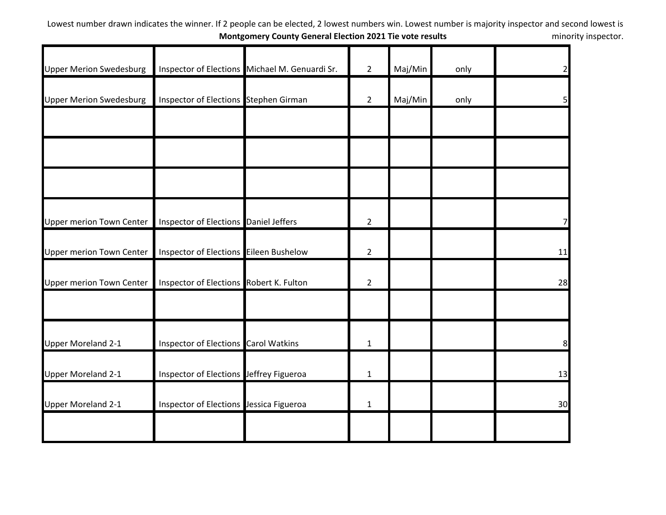| <b>Upper Merion Swedesburg</b>  |                                             | Inspector of Elections Michael M. Genuardi Sr. | $2^{\circ}$    | Maj/Min | only | $\overline{2}$ |
|---------------------------------|---------------------------------------------|------------------------------------------------|----------------|---------|------|----------------|
| <b>Upper Merion Swedesburg</b>  | Inspector of Elections Stephen Girman       |                                                | $\overline{2}$ | Maj/Min | only | 5              |
|                                 |                                             |                                                |                |         |      |                |
|                                 |                                             |                                                |                |         |      |                |
|                                 |                                             |                                                |                |         |      |                |
| <b>Upper merion Town Center</b> | Inspector of Elections Daniel Jeffers       |                                                | $\overline{2}$ |         |      |                |
| <b>Upper merion Town Center</b> | Inspector of Elections Eileen Bushelow      |                                                | $\overline{2}$ |         |      | 11             |
| <b>Upper merion Town Center</b> | Inspector of Elections Robert K. Fulton     |                                                | $\overline{2}$ |         |      | 28             |
|                                 |                                             |                                                |                |         |      |                |
| <b>Upper Moreland 2-1</b>       | <b>Inspector of Elections Carol Watkins</b> |                                                | $\mathbf 1$    |         |      | 8              |
| <b>Upper Moreland 2-1</b>       | Inspector of Elections Jeffrey Figueroa     |                                                | $\mathbf{1}$   |         |      | 13             |
| <b>Upper Moreland 2-1</b>       | Inspector of Elections Jessica Figueroa     |                                                | $\mathbf{1}$   |         |      | 30             |
|                                 |                                             |                                                |                |         |      |                |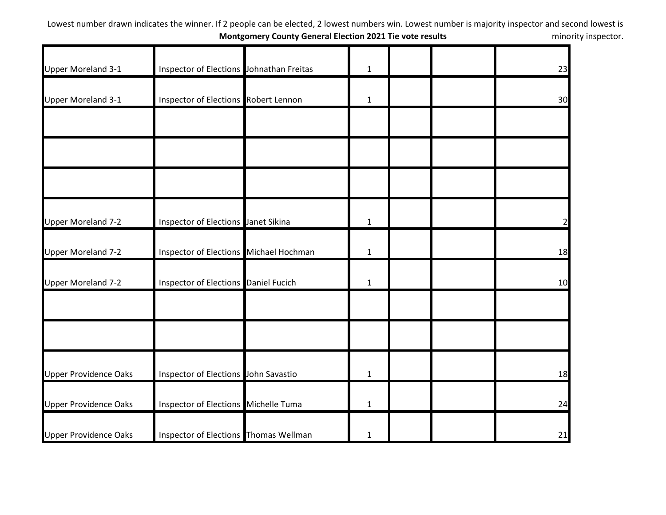| <b>Upper Moreland 3-1</b>    | Inspector of Elections Johnathan Freitas     | $\mathbf{1}$ |  | 23             |
|------------------------------|----------------------------------------------|--------------|--|----------------|
| Upper Moreland 3-1           | Inspector of Elections Robert Lennon         | $\mathbf{1}$ |  | 30             |
|                              |                                              |              |  |                |
|                              |                                              |              |  |                |
|                              |                                              |              |  |                |
| <b>Upper Moreland 7-2</b>    | Inspector of Elections Janet Sikina          | $\mathbf{1}$ |  | $\overline{2}$ |
| <b>Upper Moreland 7-2</b>    | Inspector of Elections Michael Hochman       | $\mathbf{1}$ |  | 18             |
| <b>Upper Moreland 7-2</b>    | Inspector of Elections Daniel Fucich         | $\mathbf{1}$ |  | 10             |
|                              |                                              |              |  |                |
|                              |                                              |              |  |                |
| <b>Upper Providence Oaks</b> | Inspector of Elections John Savastio         | $\mathbf{1}$ |  | 18             |
| <b>Upper Providence Oaks</b> | Inspector of Elections Michelle Tuma         | $\mathbf{1}$ |  | 24             |
| <b>Upper Providence Oaks</b> | <b>Inspector of Elections Thomas Wellman</b> | $\mathbf{1}$ |  | 21             |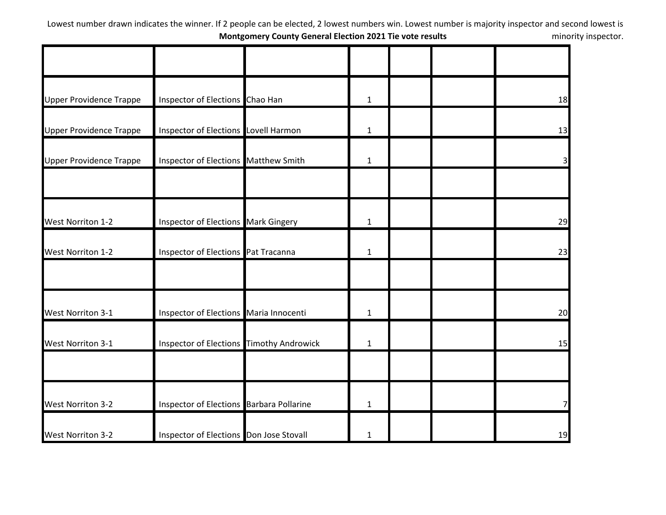| <b>Upper Providence Trappe</b> | Inspector of Elections Chao Han          | $\mathbf{1}$ |  | 18                      |
|--------------------------------|------------------------------------------|--------------|--|-------------------------|
| <b>Upper Providence Trappe</b> | Inspector of Elections Lovell Harmon     | $\mathbf{1}$ |  | 13                      |
| <b>Upper Providence Trappe</b> | Inspector of Elections Matthew Smith     | $\mathbf{1}$ |  | $\overline{\mathsf{3}}$ |
|                                |                                          |              |  |                         |
| <b>West Norriton 1-2</b>       | Inspector of Elections Mark Gingery      | $\mathbf{1}$ |  | 29                      |
| <b>West Norriton 1-2</b>       | Inspector of Elections Pat Tracanna      | $\mathbf{1}$ |  | 23                      |
|                                |                                          |              |  |                         |
| <b>West Norriton 3-1</b>       | Inspector of Elections Maria Innocenti   | $\mathbf{1}$ |  | 20                      |
| <b>West Norriton 3-1</b>       | Inspector of Elections Timothy Androwick | $\mathbf{1}$ |  | 15                      |
|                                |                                          |              |  |                         |
| <b>West Norriton 3-2</b>       | Inspector of Elections Barbara Pollarine | $\mathbf{1}$ |  | 7                       |
| <b>West Norriton 3-2</b>       | Inspector of Elections Don Jose Stovall  | $\mathbf{1}$ |  | 19                      |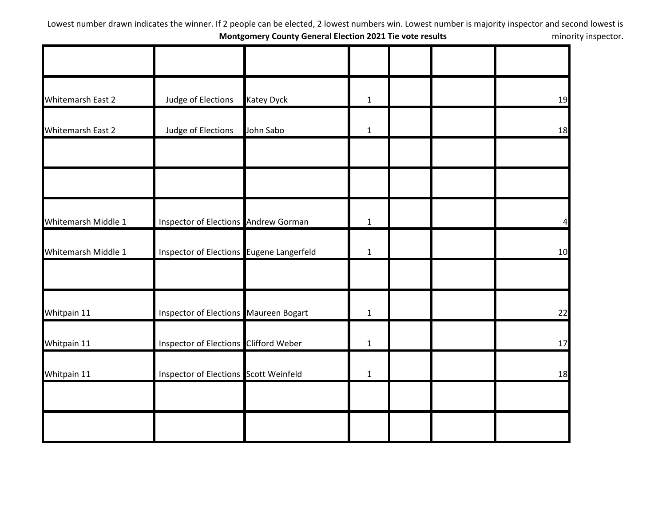| Whitemarsh East 2   | Judge of Elections                       | <b>Katey Dyck</b> | $\mathbf{1}$ |  | 19 |
|---------------------|------------------------------------------|-------------------|--------------|--|----|
| Whitemarsh East 2   | Judge of Elections                       | John Sabo         | $\mathbf{1}$ |  | 18 |
|                     |                                          |                   |              |  |    |
|                     |                                          |                   |              |  |    |
| Whitemarsh Middle 1 | Inspector of Elections Andrew Gorman     |                   | $\mathbf{1}$ |  |    |
| Whitemarsh Middle 1 | Inspector of Elections Eugene Langerfeld |                   | $\mathbf{1}$ |  | 10 |
|                     |                                          |                   |              |  |    |
| Whitpain 11         | Inspector of Elections Maureen Bogart    |                   | $\mathbf{1}$ |  | 22 |
| Whitpain 11         | Inspector of Elections Clifford Weber    |                   | $\mathbf{1}$ |  | 17 |
| Whitpain 11         | Inspector of Elections Scott Weinfeld    |                   | $\mathbf{1}$ |  | 18 |
|                     |                                          |                   |              |  |    |
|                     |                                          |                   |              |  |    |